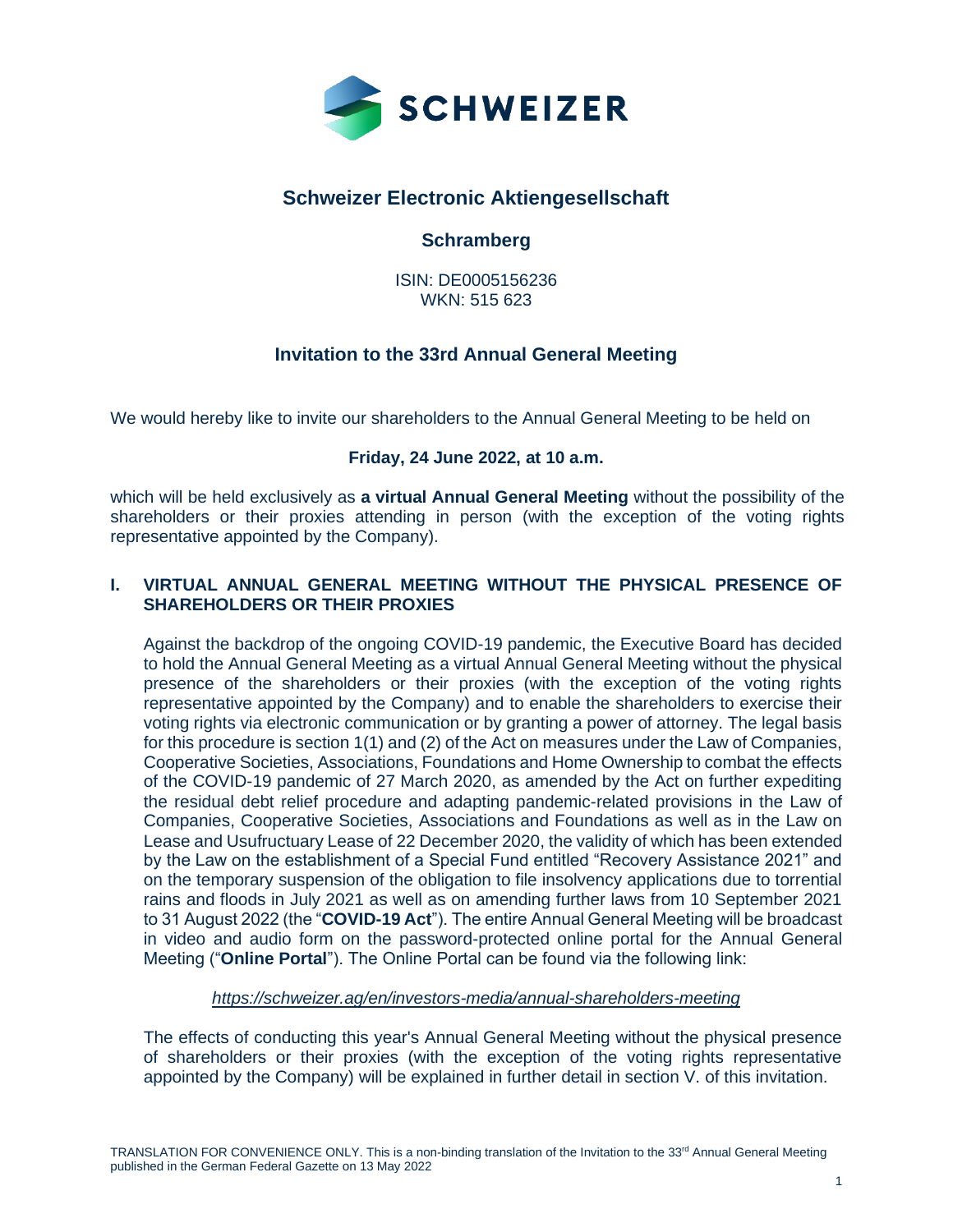

# **Schweizer Electronic Aktiengesellschaft**

# **Schramberg**

ISIN: DE0005156236 WKN: 515 623

# **Invitation to the 33rd Annual General Meeting**

We would hereby like to invite our shareholders to the Annual General Meeting to be held on

# **Friday, 24 June 2022, at 10 a.m.**

which will be held exclusively as **a virtual Annual General Meeting** without the possibility of the shareholders or their proxies attending in person (with the exception of the voting rights representative appointed by the Company).

# **I. VIRTUAL ANNUAL GENERAL MEETING WITHOUT THE PHYSICAL PRESENCE OF SHAREHOLDERS OR THEIR PROXIES**

Against the backdrop of the ongoing COVID-19 pandemic, the Executive Board has decided to hold the Annual General Meeting as a virtual Annual General Meeting without the physical presence of the shareholders or their proxies (with the exception of the voting rights representative appointed by the Company) and to enable the shareholders to exercise their voting rights via electronic communication or by granting a power of attorney. The legal basis for this procedure is section 1(1) and (2) of the Act on measures under the Law of Companies, Cooperative Societies, Associations, Foundations and Home Ownership to combat the effects of the COVID-19 pandemic of 27 March 2020, as amended by the Act on further expediting the residual debt relief procedure and adapting pandemic-related provisions in the Law of Companies, Cooperative Societies, Associations and Foundations as well as in the Law on Lease and Usufructuary Lease of 22 December 2020, the validity of which has been extended by the Law on the establishment of a Special Fund entitled "Recovery Assistance 2021" and on the temporary suspension of the obligation to file insolvency applications due to torrential rains and floods in July 2021 as well as on amending further laws from 10 September 2021 to 31 August 2022 (the "**COVID-19 Act**"). The entire Annual General Meeting will be broadcast in video and audio form on the password-protected online portal for the Annual General Meeting ("**Online Portal**"). The Online Portal can be found via the following link:

*<https://schweizer.ag/en/investors-media/annual-shareholders-meeting>*

The effects of conducting this year's Annual General Meeting without the physical presence of shareholders or their proxies (with the exception of the voting rights representative appointed by the Company) will be explained in further detail in section V. of this invitation.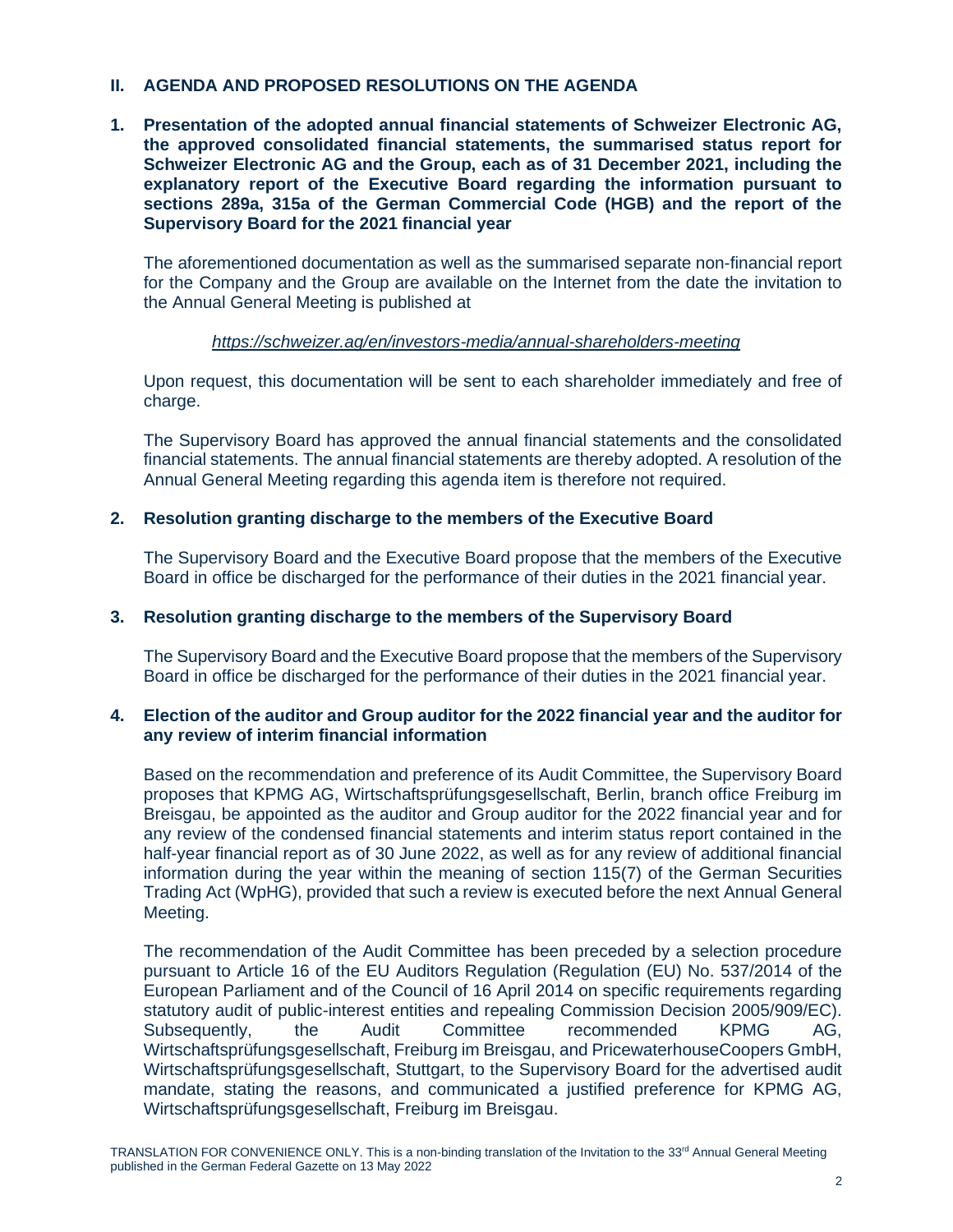# **II. AGENDA AND PROPOSED RESOLUTIONS ON THE AGENDA**

**1. Presentation of the adopted annual financial statements of Schweizer Electronic AG, the approved consolidated financial statements, the summarised status report for Schweizer Electronic AG and the Group, each as of 31 December 2021, including the explanatory report of the Executive Board regarding the information pursuant to sections 289a, 315a of the German Commercial Code (HGB) and the report of the Supervisory Board for the 2021 financial year**

The aforementioned documentation as well as the summarised separate non-financial report for the Company and the Group are available on the Internet from the date the invitation to the Annual General Meeting is published at

# *https://schweizer.ag/en/investors-media/annual-shareholders-meeting*

Upon request, this documentation will be sent to each shareholder immediately and free of charge.

The Supervisory Board has approved the annual financial statements and the consolidated financial statements. The annual financial statements are thereby adopted. A resolution of the Annual General Meeting regarding this agenda item is therefore not required.

# **2. Resolution granting discharge to the members of the Executive Board**

The Supervisory Board and the Executive Board propose that the members of the Executive Board in office be discharged for the performance of their duties in the 2021 financial year.

# **3. Resolution granting discharge to the members of the Supervisory Board**

The Supervisory Board and the Executive Board propose that the members of the Supervisory Board in office be discharged for the performance of their duties in the 2021 financial year.

# **4. Election of the auditor and Group auditor for the 2022 financial year and the auditor for any review of interim financial information**

Based on the recommendation and preference of its Audit Committee, the Supervisory Board proposes that KPMG AG, Wirtschaftsprüfungsgesellschaft, Berlin, branch office Freiburg im Breisgau, be appointed as the auditor and Group auditor for the 2022 financial year and for any review of the condensed financial statements and interim status report contained in the half-year financial report as of 30 June 2022, as well as for any review of additional financial information during the year within the meaning of section 115(7) of the German Securities Trading Act (WpHG), provided that such a review is executed before the next Annual General Meeting.

The recommendation of the Audit Committee has been preceded by a selection procedure pursuant to Article 16 of the EU Auditors Regulation (Regulation (EU) No. 537/2014 of the European Parliament and of the Council of 16 April 2014 on specific requirements regarding statutory audit of public-interest entities and repealing Commission Decision 2005/909/EC). Subsequently, the Audit Committee recommended KPMG AG, Wirtschaftsprüfungsgesellschaft, Freiburg im Breisgau, and PricewaterhouseCoopers GmbH, Wirtschaftsprüfungsgesellschaft, Stuttgart, to the Supervisory Board for the advertised audit mandate, stating the reasons, and communicated a justified preference for KPMG AG, Wirtschaftsprüfungsgesellschaft, Freiburg im Breisgau.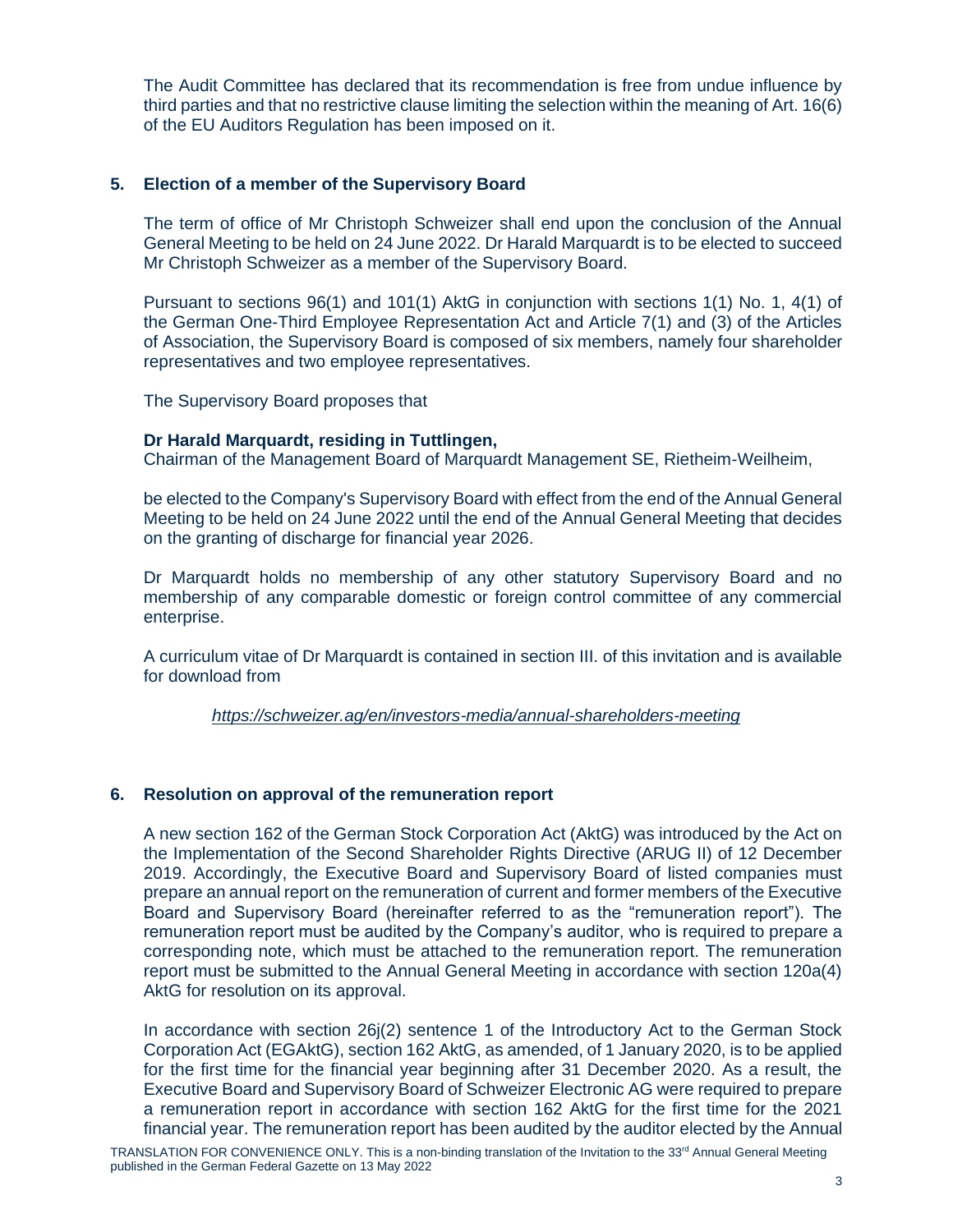The Audit Committee has declared that its recommendation is free from undue influence by third parties and that no restrictive clause limiting the selection within the meaning of Art. 16(6) of the EU Auditors Regulation has been imposed on it.

# **5. Election of a member of the Supervisory Board**

The term of office of Mr Christoph Schweizer shall end upon the conclusion of the Annual General Meeting to be held on 24 June 2022. Dr Harald Marquardt is to be elected to succeed Mr Christoph Schweizer as a member of the Supervisory Board.

Pursuant to sections 96(1) and 101(1) AktG in conjunction with sections 1(1) No. 1, 4(1) of the German One-Third Employee Representation Act and Article 7(1) and (3) of the Articles of Association, the Supervisory Board is composed of six members, namely four shareholder representatives and two employee representatives.

The Supervisory Board proposes that

# **Dr Harald Marquardt, residing in Tuttlingen,**

Chairman of the Management Board of Marquardt Management SE, Rietheim-Weilheim,

be elected to the Company's Supervisory Board with effect from the end of the Annual General Meeting to be held on 24 June 2022 until the end of the Annual General Meeting that decides on the granting of discharge for financial year 2026.

Dr Marquardt holds no membership of any other statutory Supervisory Board and no membership of any comparable domestic or foreign control committee of any commercial enterprise.

A curriculum vitae of Dr Marquardt is contained in section III. of this invitation and is available for download from

*https://schweizer.ag/en/investors-media/annual-shareholders-meeting*

# **6. Resolution on approval of the remuneration report**

A new section 162 of the German Stock Corporation Act (AktG) was introduced by the Act on the Implementation of the Second Shareholder Rights Directive (ARUG II) of 12 December 2019. Accordingly, the Executive Board and Supervisory Board of listed companies must prepare an annual report on the remuneration of current and former members of the Executive Board and Supervisory Board (hereinafter referred to as the "remuneration report"). The remuneration report must be audited by the Company's auditor, who is required to prepare a corresponding note, which must be attached to the remuneration report. The remuneration report must be submitted to the Annual General Meeting in accordance with section 120a(4) AktG for resolution on its approval.

In accordance with section 26j(2) sentence 1 of the Introductory Act to the German Stock Corporation Act (EGAktG), section 162 AktG, as amended, of 1 January 2020, is to be applied for the first time for the financial year beginning after 31 December 2020. As a result, the Executive Board and Supervisory Board of Schweizer Electronic AG were required to prepare a remuneration report in accordance with section 162 AktG for the first time for the 2021 financial year. The remuneration report has been audited by the auditor elected by the Annual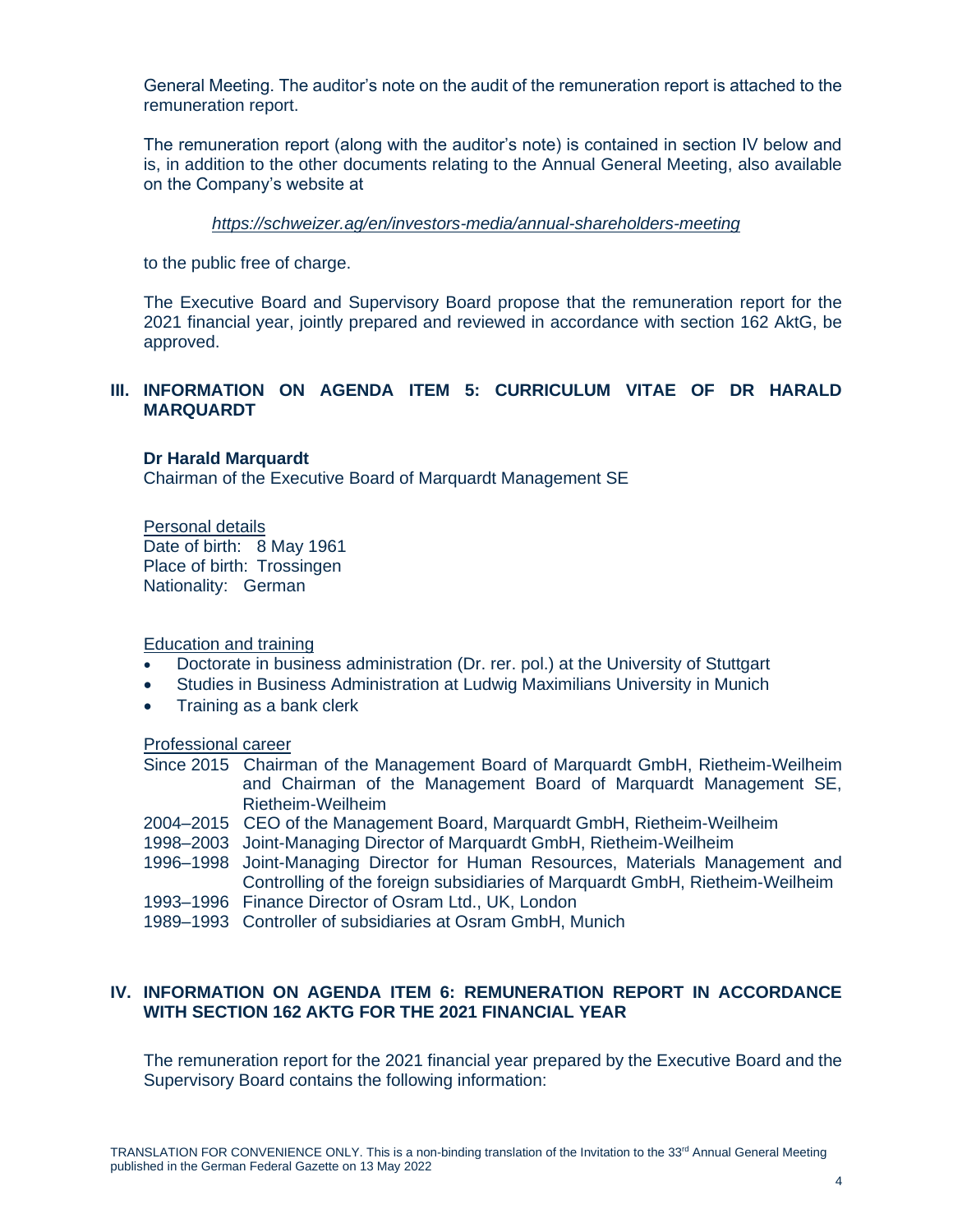General Meeting. The auditor's note on the audit of the remuneration report is attached to the remuneration report.

The remuneration report (along with the auditor's note) is contained in section IV below and is, in addition to the other documents relating to the Annual General Meeting, also available on the Company's website at

#### *<https://schweizer.ag/en/investors-media/annual-shareholders-meeting>*

to the public free of charge.

The Executive Board and Supervisory Board propose that the remuneration report for the 2021 financial year, jointly prepared and reviewed in accordance with section 162 AktG, be approved.

# **III. INFORMATION ON AGENDA ITEM 5: CURRICULUM VITAE OF DR HARALD MARQUARDT**

# **Dr Harald Marquardt**

Chairman of the Executive Board of Marquardt Management SE

Personal details Date of birth: 8 May 1961 Place of birth: Trossingen Nationality: German

Education and training

- Doctorate in business administration (Dr. rer. pol.) at the University of Stuttgart
- Studies in Business Administration at Ludwig Maximilians University in Munich
- Training as a bank clerk

Professional career

- Since 2015 Chairman of the Management Board of Marquardt GmbH, Rietheim-Weilheim and Chairman of the Management Board of Marquardt Management SE, Rietheim-Weilheim
- 2004–2015 CEO of the Management Board, Marquardt GmbH, Rietheim-Weilheim
- 1998–2003 Joint-Managing Director of Marquardt GmbH, Rietheim-Weilheim
- 1996–1998 Joint-Managing Director for Human Resources, Materials Management and Controlling of the foreign subsidiaries of Marquardt GmbH, Rietheim-Weilheim
- 1993–1996 Finance Director of Osram Ltd., UK, London
- 1989–1993 Controller of subsidiaries at Osram GmbH, Munich

# **IV. INFORMATION ON AGENDA ITEM 6: REMUNERATION REPORT IN ACCORDANCE WITH SECTION 162 AKTG FOR THE 2021 FINANCIAL YEAR**

The remuneration report for the 2021 financial year prepared by the Executive Board and the Supervisory Board contains the following information: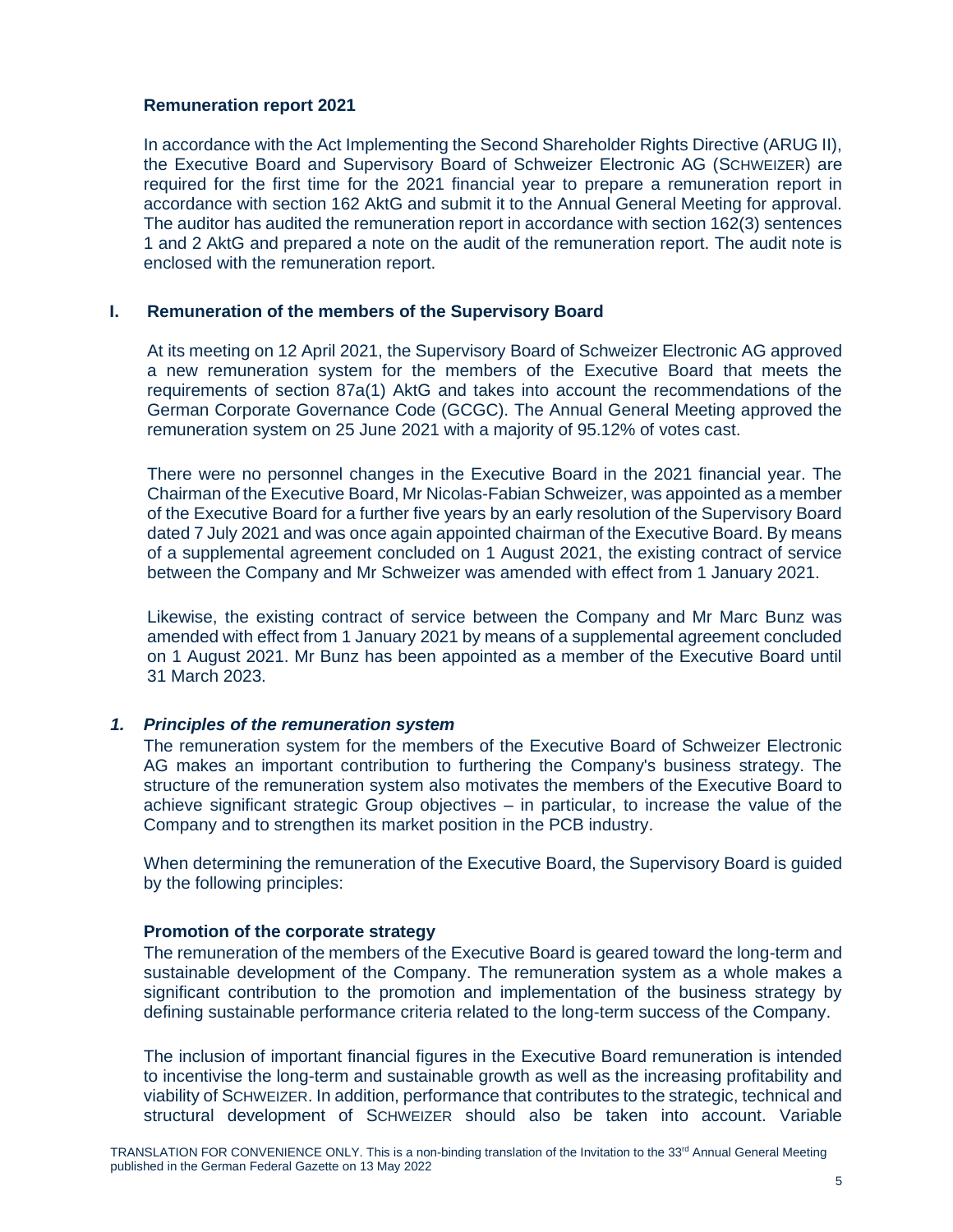# **Remuneration report 2021**

In accordance with the Act Implementing the Second Shareholder Rights Directive (ARUG II), the Executive Board and Supervisory Board of Schweizer Electronic AG (SCHWEIZER) are required for the first time for the 2021 financial year to prepare a remuneration report in accordance with section 162 AktG and submit it to the Annual General Meeting for approval. The auditor has audited the remuneration report in accordance with section 162(3) sentences 1 and 2 AktG and prepared a note on the audit of the remuneration report. The audit note is enclosed with the remuneration report.

# **I. Remuneration of the members of the Supervisory Board**

At its meeting on 12 April 2021, the Supervisory Board of Schweizer Electronic AG approved a new remuneration system for the members of the Executive Board that meets the requirements of section 87a(1) AktG and takes into account the recommendations of the German Corporate Governance Code (GCGC). The Annual General Meeting approved the remuneration system on 25 June 2021 with a majority of 95.12% of votes cast.

There were no personnel changes in the Executive Board in the 2021 financial year. The Chairman of the Executive Board, Mr Nicolas-Fabian Schweizer, was appointed as a member of the Executive Board for a further five years by an early resolution of the Supervisory Board dated 7 July 2021 and was once again appointed chairman of the Executive Board. By means of a supplemental agreement concluded on 1 August 2021, the existing contract of service between the Company and Mr Schweizer was amended with effect from 1 January 2021.

Likewise, the existing contract of service between the Company and Mr Marc Bunz was amended with effect from 1 January 2021 by means of a supplemental agreement concluded on 1 August 2021. Mr Bunz has been appointed as a member of the Executive Board until 31 March 2023.

# *1. Principles of the remuneration system*

The remuneration system for the members of the Executive Board of Schweizer Electronic AG makes an important contribution to furthering the Company's business strategy. The structure of the remuneration system also motivates the members of the Executive Board to achieve significant strategic Group objectives – in particular, to increase the value of the Company and to strengthen its market position in the PCB industry.

When determining the remuneration of the Executive Board, the Supervisory Board is guided by the following principles:

# **Promotion of the corporate strategy**

The remuneration of the members of the Executive Board is geared toward the long-term and sustainable development of the Company. The remuneration system as a whole makes a significant contribution to the promotion and implementation of the business strategy by defining sustainable performance criteria related to the long-term success of the Company.

The inclusion of important financial figures in the Executive Board remuneration is intended to incentivise the long-term and sustainable growth as well as the increasing profitability and viability of SCHWEIZER. In addition, performance that contributes to the strategic, technical and structural development of SCHWEIZER should also be taken into account. Variable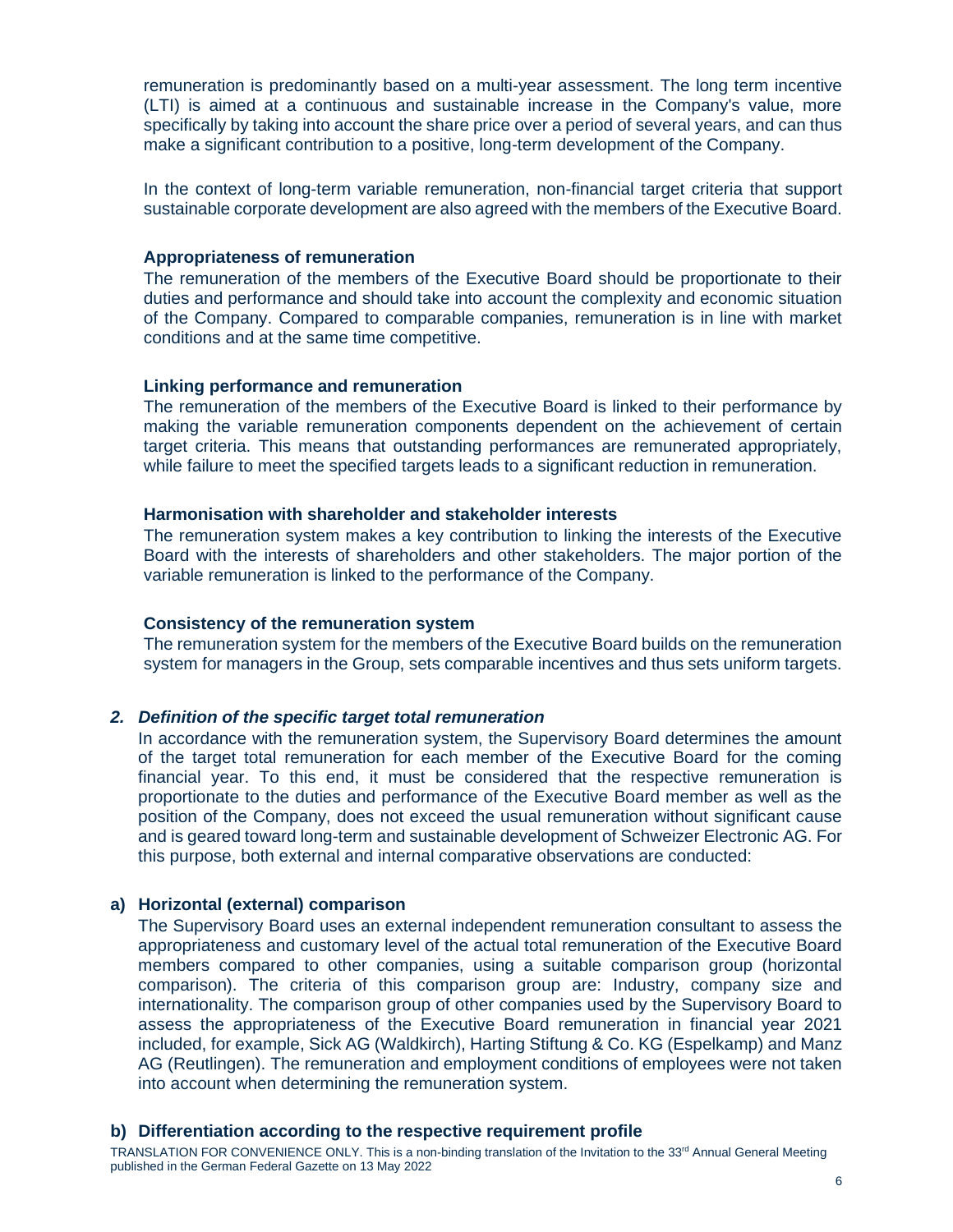remuneration is predominantly based on a multi-year assessment. The long term incentive (LTI) is aimed at a continuous and sustainable increase in the Company's value, more specifically by taking into account the share price over a period of several years, and can thus make a significant contribution to a positive, long-term development of the Company.

In the context of long-term variable remuneration, non-financial target criteria that support sustainable corporate development are also agreed with the members of the Executive Board.

#### **Appropriateness of remuneration**

The remuneration of the members of the Executive Board should be proportionate to their duties and performance and should take into account the complexity and economic situation of the Company. Compared to comparable companies, remuneration is in line with market conditions and at the same time competitive.

#### **Linking performance and remuneration**

The remuneration of the members of the Executive Board is linked to their performance by making the variable remuneration components dependent on the achievement of certain target criteria. This means that outstanding performances are remunerated appropriately, while failure to meet the specified targets leads to a significant reduction in remuneration.

### **Harmonisation with shareholder and stakeholder interests**

The remuneration system makes a key contribution to linking the interests of the Executive Board with the interests of shareholders and other stakeholders. The major portion of the variable remuneration is linked to the performance of the Company.

#### **Consistency of the remuneration system**

The remuneration system for the members of the Executive Board builds on the remuneration system for managers in the Group, sets comparable incentives and thus sets uniform targets.

# *2. Definition of the specific target total remuneration*

In accordance with the remuneration system, the Supervisory Board determines the amount of the target total remuneration for each member of the Executive Board for the coming financial year. To this end, it must be considered that the respective remuneration is proportionate to the duties and performance of the Executive Board member as well as the position of the Company, does not exceed the usual remuneration without significant cause and is geared toward long-term and sustainable development of Schweizer Electronic AG. For this purpose, both external and internal comparative observations are conducted:

#### **a) Horizontal (external) comparison**

The Supervisory Board uses an external independent remuneration consultant to assess the appropriateness and customary level of the actual total remuneration of the Executive Board members compared to other companies, using a suitable comparison group (horizontal comparison). The criteria of this comparison group are: Industry, company size and internationality. The comparison group of other companies used by the Supervisory Board to assess the appropriateness of the Executive Board remuneration in financial year 2021 included, for example, Sick AG (Waldkirch), Harting Stiftung & Co. KG (Espelkamp) and Manz AG (Reutlingen). The remuneration and employment conditions of employees were not taken into account when determining the remuneration system.

#### **b) Differentiation according to the respective requirement profile**

TRANSI ATION FOR CONVENIENCE ONLY. This is a non-binding translation of the Invitation to the 33<sup>rd</sup> Annual General Meeting published in the German Federal Gazette on 13 May 2022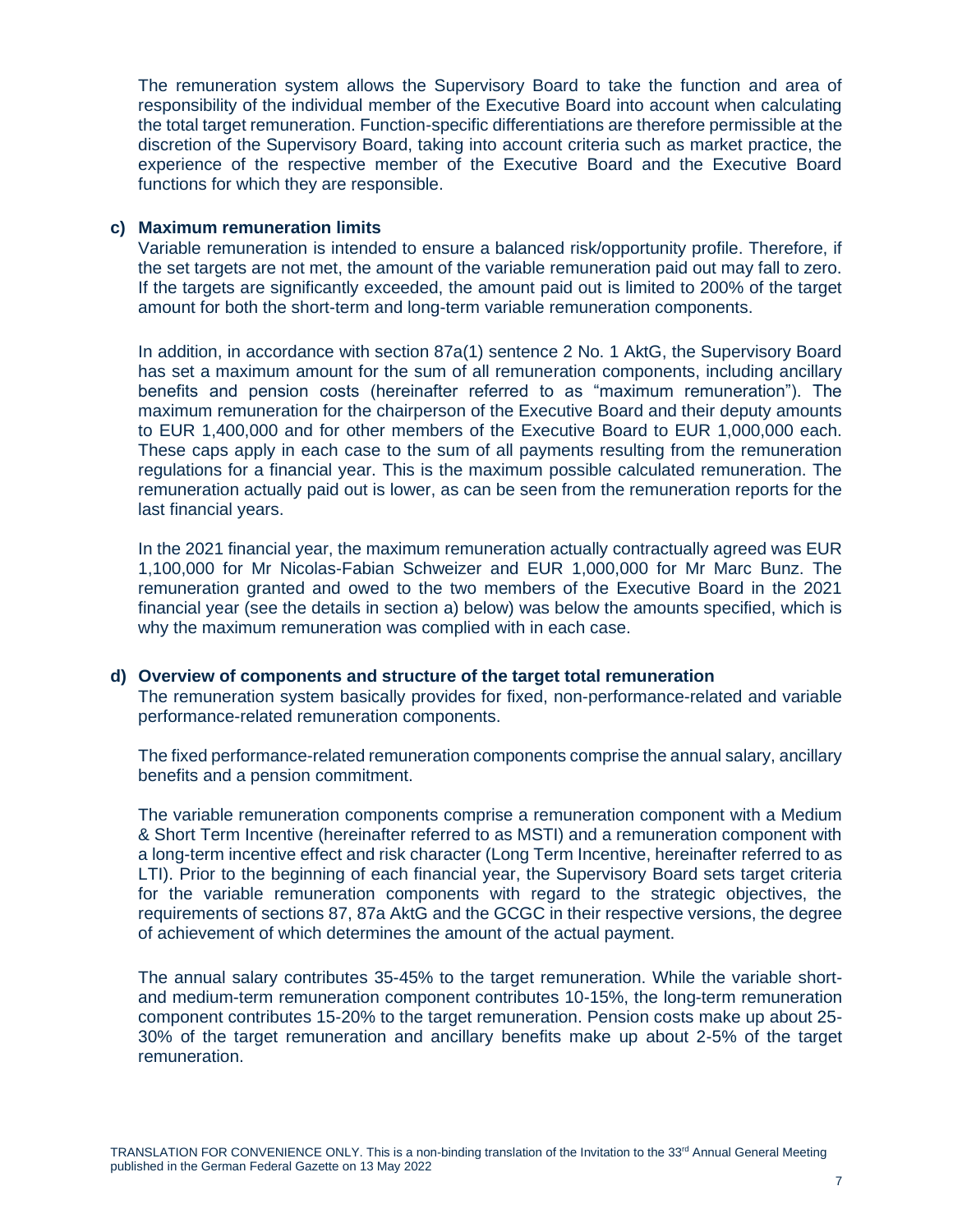The remuneration system allows the Supervisory Board to take the function and area of responsibility of the individual member of the Executive Board into account when calculating the total target remuneration. Function-specific differentiations are therefore permissible at the discretion of the Supervisory Board, taking into account criteria such as market practice, the experience of the respective member of the Executive Board and the Executive Board functions for which they are responsible.

# **c) Maximum remuneration limits**

Variable remuneration is intended to ensure a balanced risk/opportunity profile. Therefore, if the set targets are not met, the amount of the variable remuneration paid out may fall to zero. If the targets are significantly exceeded, the amount paid out is limited to 200% of the target amount for both the short-term and long-term variable remuneration components.

In addition, in accordance with section 87a(1) sentence 2 No. 1 AktG, the Supervisory Board has set a maximum amount for the sum of all remuneration components, including ancillary benefits and pension costs (hereinafter referred to as "maximum remuneration"). The maximum remuneration for the chairperson of the Executive Board and their deputy amounts to EUR 1,400,000 and for other members of the Executive Board to EUR 1,000,000 each. These caps apply in each case to the sum of all payments resulting from the remuneration regulations for a financial year. This is the maximum possible calculated remuneration. The remuneration actually paid out is lower, as can be seen from the remuneration reports for the last financial years.

In the 2021 financial year, the maximum remuneration actually contractually agreed was EUR 1,100,000 for Mr Nicolas-Fabian Schweizer and EUR 1,000,000 for Mr Marc Bunz. The remuneration granted and owed to the two members of the Executive Board in the 2021 financial year (see the details in section [a\)](#page-16-0) below) was below the amounts specified, which is why the maximum remuneration was complied with in each case.

# **d) Overview of components and structure of the target total remuneration**

The remuneration system basically provides for fixed, non-performance-related and variable performance-related remuneration components.

The fixed performance-related remuneration components comprise the annual salary, ancillary benefits and a pension commitment.

The variable remuneration components comprise a remuneration component with a Medium & Short Term Incentive (hereinafter referred to as MSTI) and a remuneration component with a long-term incentive effect and risk character (Long Term Incentive, hereinafter referred to as LTI). Prior to the beginning of each financial year, the Supervisory Board sets target criteria for the variable remuneration components with regard to the strategic objectives, the requirements of sections 87, 87a AktG and the GCGC in their respective versions, the degree of achievement of which determines the amount of the actual payment.

The annual salary contributes 35-45% to the target remuneration. While the variable shortand medium-term remuneration component contributes 10-15%, the long-term remuneration component contributes 15-20% to the target remuneration. Pension costs make up about 25- 30% of the target remuneration and ancillary benefits make up about 2-5% of the target remuneration.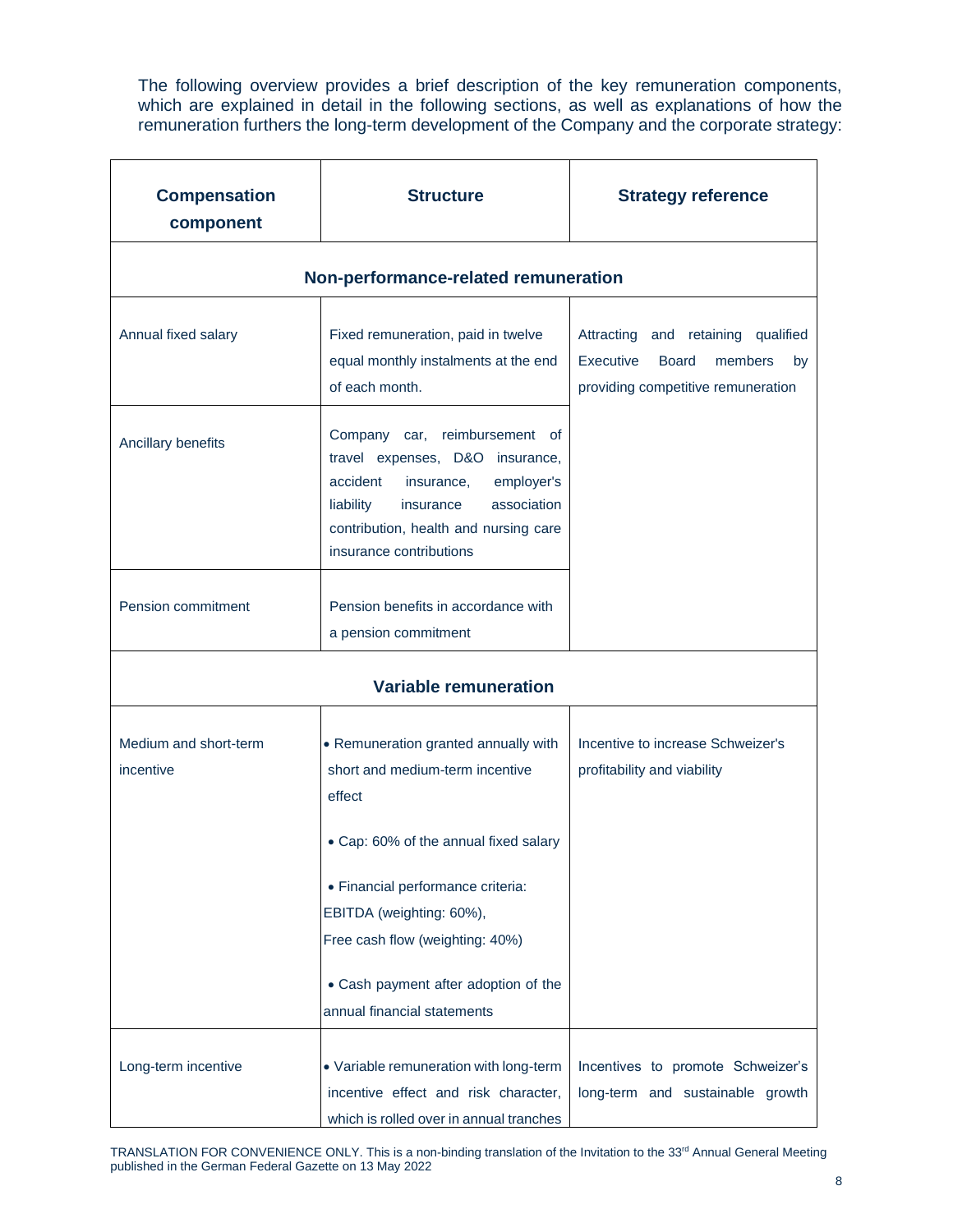The following overview provides a brief description of the key remuneration components, which are explained in detail in the following sections, as well as explanations of how the remuneration furthers the long-term development of the Company and the corporate strategy:

| <b>Compensation</b><br>component     | <b>Structure</b>                                                                                                                                                                                                                                                                                      | <b>Strategy reference</b>                                                                                              |  |  |  |  |  |  |  |
|--------------------------------------|-------------------------------------------------------------------------------------------------------------------------------------------------------------------------------------------------------------------------------------------------------------------------------------------------------|------------------------------------------------------------------------------------------------------------------------|--|--|--|--|--|--|--|
| Non-performance-related remuneration |                                                                                                                                                                                                                                                                                                       |                                                                                                                        |  |  |  |  |  |  |  |
| Annual fixed salary                  | Fixed remuneration, paid in twelve<br>equal monthly instalments at the end<br>of each month.                                                                                                                                                                                                          | Attracting and retaining qualified<br>Executive<br><b>Board</b><br>members<br>by<br>providing competitive remuneration |  |  |  |  |  |  |  |
| Ancillary benefits                   | Company car, reimbursement of<br>travel expenses, D&O insurance,<br>accident<br>employer's<br>insurance,<br>association<br>liability<br>insurance<br>contribution, health and nursing care<br>insurance contributions                                                                                 |                                                                                                                        |  |  |  |  |  |  |  |
| Pension commitment                   | Pension benefits in accordance with<br>a pension commitment                                                                                                                                                                                                                                           |                                                                                                                        |  |  |  |  |  |  |  |
|                                      | <b>Variable remuneration</b>                                                                                                                                                                                                                                                                          |                                                                                                                        |  |  |  |  |  |  |  |
| Medium and short-term<br>incentive   | • Remuneration granted annually with<br>short and medium-term incentive<br>effect<br>• Cap: 60% of the annual fixed salary<br>· Financial performance criteria:<br>EBITDA (weighting: 60%),<br>Free cash flow (weighting: 40%)<br>• Cash payment after adoption of the<br>annual financial statements | Incentive to increase Schweizer's<br>profitability and viability                                                       |  |  |  |  |  |  |  |
| Long-term incentive                  | • Variable remuneration with long-term<br>incentive effect and risk character,<br>which is rolled over in annual tranches                                                                                                                                                                             | Incentives to promote Schweizer's<br>long-term and sustainable growth                                                  |  |  |  |  |  |  |  |

TRANSLATION FOR CONVENIENCE ONLY. This is a non-binding translation of the Invitation to the 33<sup>rd</sup> Annual General Meeting published in the German Federal Gazette on 13 May 2022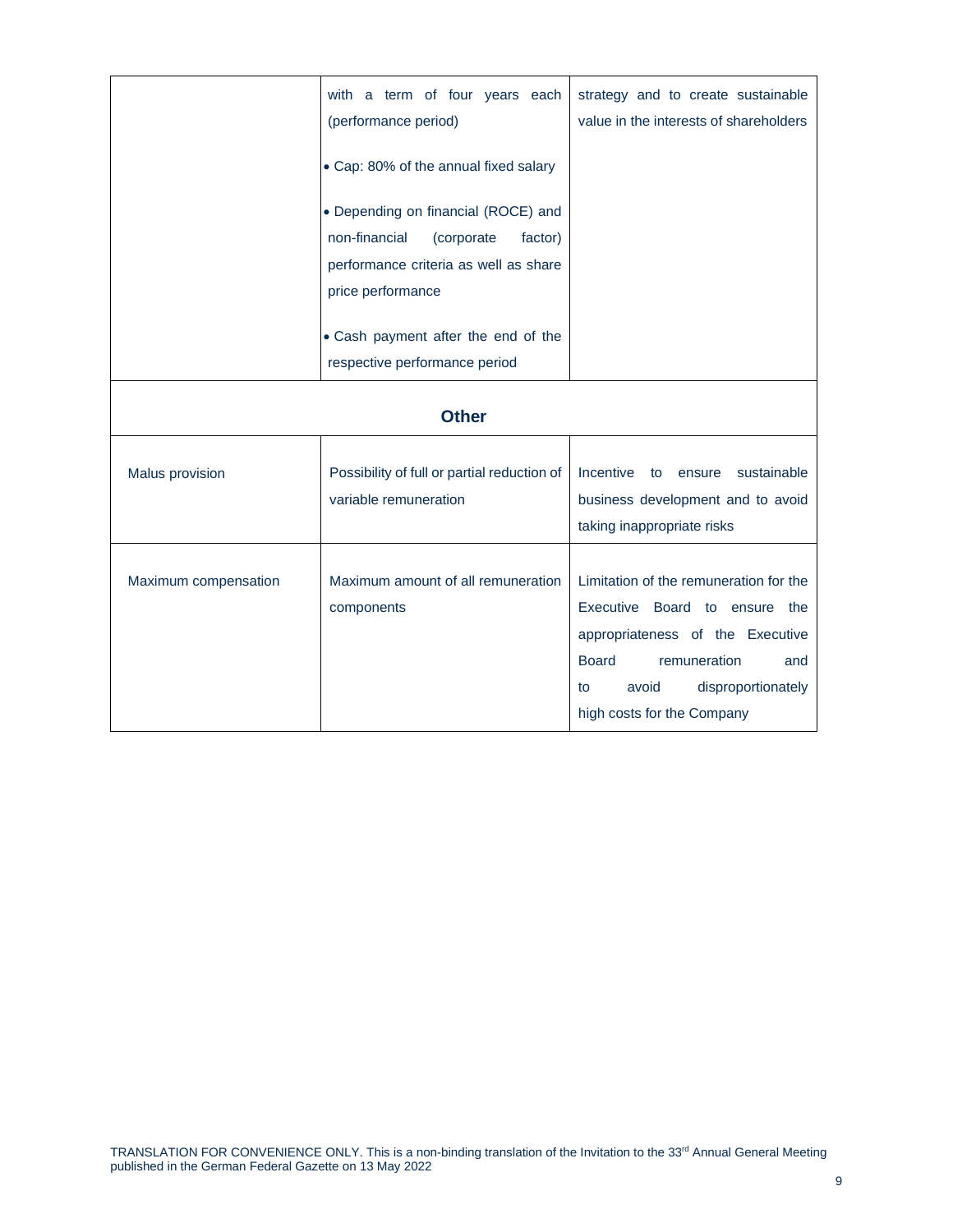|                      | with a term of four years each<br>(performance period)                                                                                      | strategy and to create sustainable<br>value in the interests of shareholders                                                                                                                                          |
|----------------------|---------------------------------------------------------------------------------------------------------------------------------------------|-----------------------------------------------------------------------------------------------------------------------------------------------------------------------------------------------------------------------|
|                      | • Cap: 80% of the annual fixed salary                                                                                                       |                                                                                                                                                                                                                       |
|                      | • Depending on financial (ROCE) and<br>non-financial<br>(corporate<br>factor)<br>performance criteria as well as share<br>price performance |                                                                                                                                                                                                                       |
|                      | • Cash payment after the end of the<br>respective performance period                                                                        |                                                                                                                                                                                                                       |
|                      | <b>Other</b>                                                                                                                                |                                                                                                                                                                                                                       |
| Malus provision      | Possibility of full or partial reduction of<br>variable remuneration                                                                        | Incentive<br>sustainable<br>to<br>ensure<br>business development and to avoid<br>taking inappropriate risks                                                                                                           |
| Maximum compensation | Maximum amount of all remuneration<br>components                                                                                            | Limitation of the remuneration for the<br>Executive Board to ensure the<br>appropriateness of the Executive<br>remuneration<br><b>Board</b><br>and<br>disproportionately<br>avoid<br>to<br>high costs for the Company |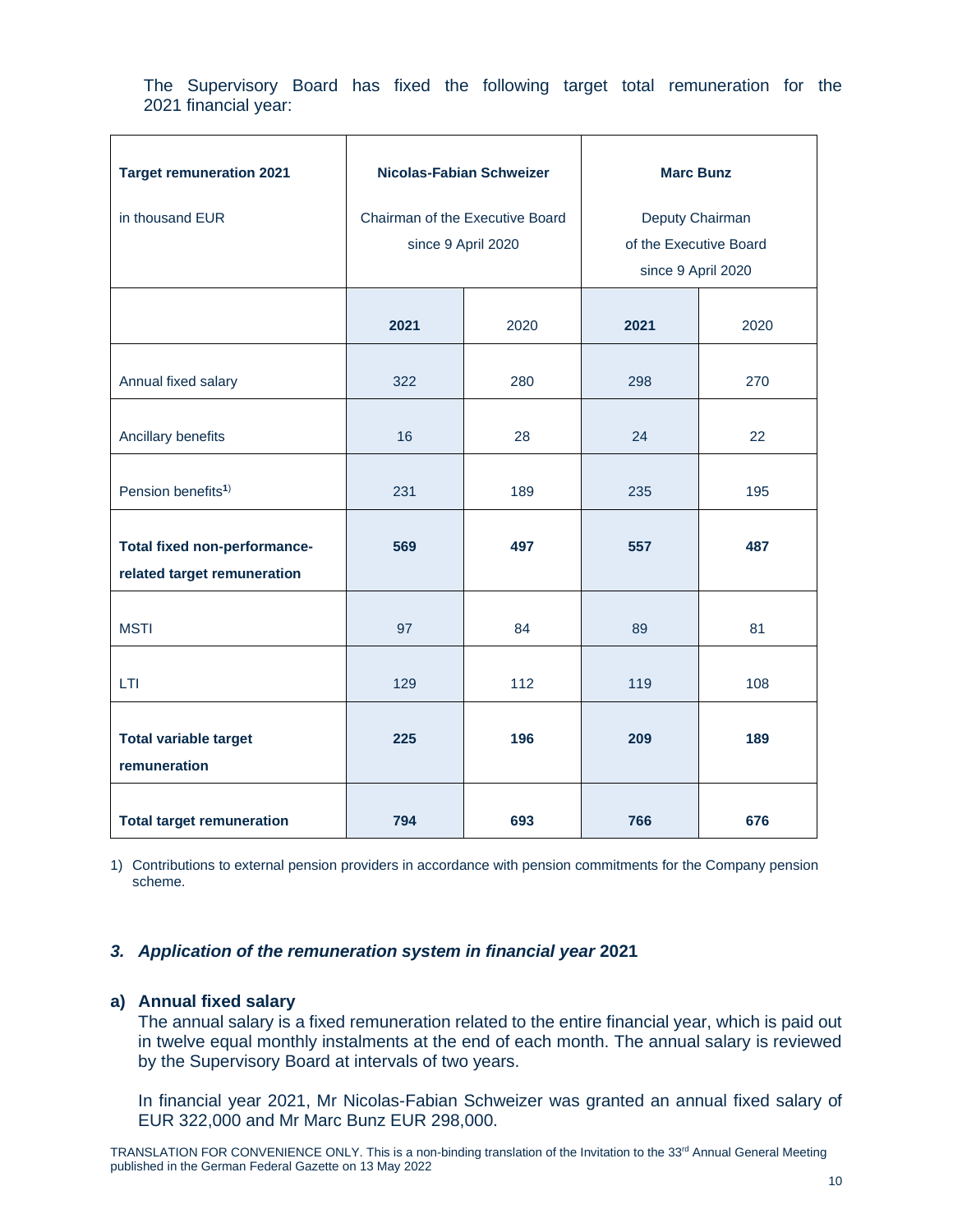The Supervisory Board has fixed the following target total remuneration for the 2021 financial year:

| <b>Target remuneration 2021</b>                             | Nicolas-Fabian Schweizer |                                                       | <b>Marc Bunz</b>                                                |      |  |
|-------------------------------------------------------------|--------------------------|-------------------------------------------------------|-----------------------------------------------------------------|------|--|
| in thousand EUR                                             |                          | Chairman of the Executive Board<br>since 9 April 2020 | Deputy Chairman<br>of the Executive Board<br>since 9 April 2020 |      |  |
|                                                             | 2021                     | 2020                                                  | 2021                                                            | 2020 |  |
| Annual fixed salary                                         | 322                      | 280                                                   | 298                                                             | 270  |  |
| Ancillary benefits                                          | 16                       | 28                                                    | 24                                                              | 22   |  |
| Pension benefits <sup>1)</sup>                              | 231                      | 189                                                   | 235                                                             | 195  |  |
| Total fixed non-performance-<br>related target remuneration | 569                      | 497                                                   | 557                                                             | 487  |  |
| <b>MSTI</b>                                                 | 97                       | 84                                                    | 89                                                              | 81   |  |
| <b>LTI</b>                                                  | 129                      | 112                                                   | 119                                                             | 108  |  |
| <b>Total variable target</b><br>remuneration                | 225                      | 196                                                   | 209                                                             | 189  |  |
| <b>Total target remuneration</b>                            | 794                      | 693                                                   | 766                                                             | 676  |  |

1) Contributions to external pension providers in accordance with pension commitments for the Company pension scheme.

# *3. Application of the remuneration system in financial year* **2021**

# **a) Annual fixed salary**

The annual salary is a fixed remuneration related to the entire financial year, which is paid out in twelve equal monthly instalments at the end of each month. The annual salary is reviewed by the Supervisory Board at intervals of two years.

In financial year 2021, Mr Nicolas-Fabian Schweizer was granted an annual fixed salary of EUR 322,000 and Mr Marc Bunz EUR 298,000.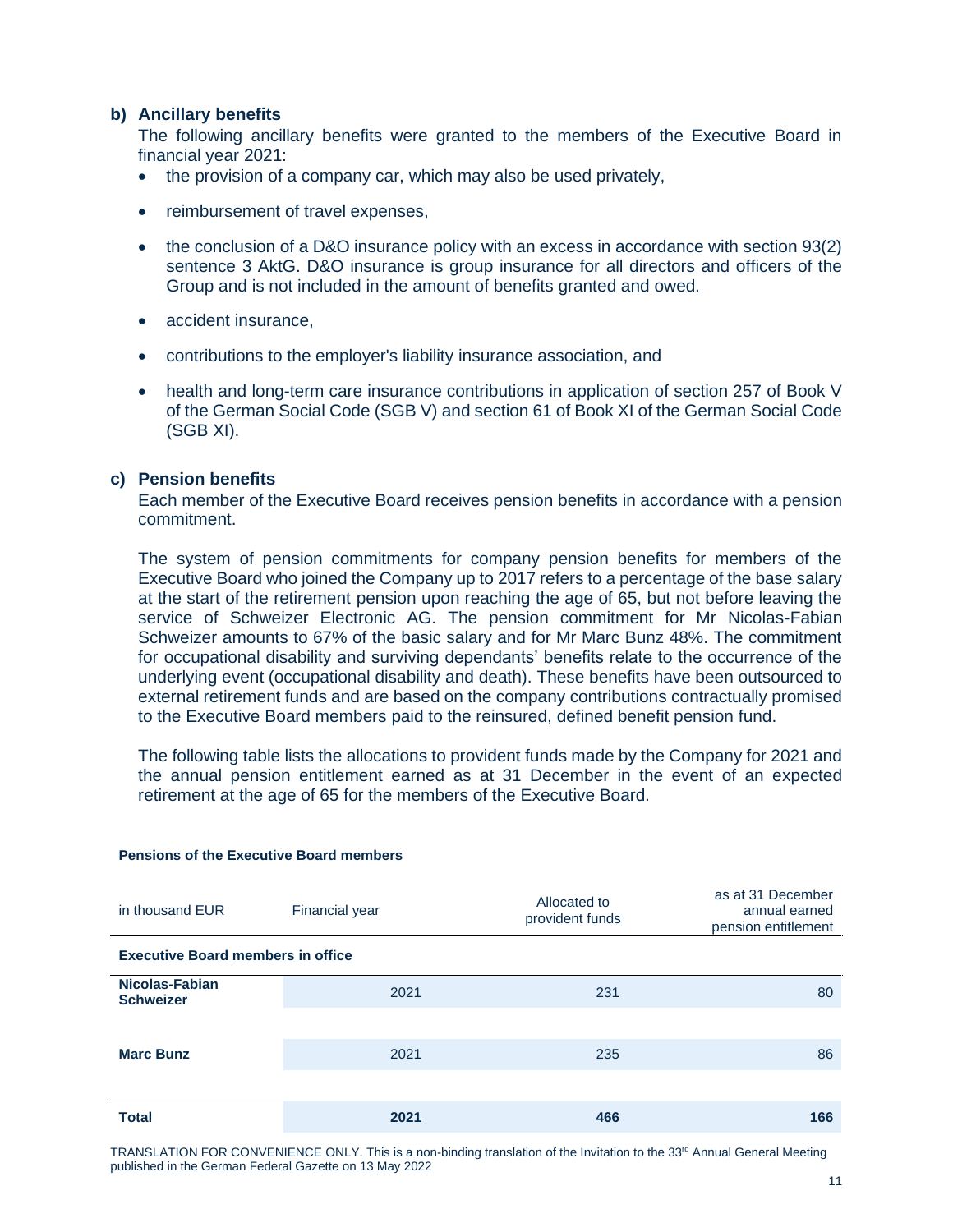# **b) Ancillary benefits**

The following ancillary benefits were granted to the members of the Executive Board in financial year 2021:

- the provision of a company car, which may also be used privately,
- reimbursement of travel expenses,
- the conclusion of a D&O insurance policy with an excess in accordance with section 93(2) sentence 3 AktG. D&O insurance is group insurance for all directors and officers of the Group and is not included in the amount of benefits granted and owed.
- accident insurance.
- contributions to the employer's liability insurance association, and
- health and long-term care insurance contributions in application of section 257 of Book V of the German Social Code (SGB V) and section 61 of Book XI of the German Social Code (SGB XI).

## **c) Pension benefits**

Each member of the Executive Board receives pension benefits in accordance with a pension commitment.

The system of pension commitments for company pension benefits for members of the Executive Board who joined the Company up to 2017 refers to a percentage of the base salary at the start of the retirement pension upon reaching the age of 65, but not before leaving the service of Schweizer Electronic AG. The pension commitment for Mr Nicolas-Fabian Schweizer amounts to 67% of the basic salary and for Mr Marc Bunz 48%. The commitment for occupational disability and surviving dependants' benefits relate to the occurrence of the underlying event (occupational disability and death). These benefits have been outsourced to external retirement funds and are based on the company contributions contractually promised to the Executive Board members paid to the reinsured, defined benefit pension fund.

The following table lists the allocations to provident funds made by the Company for 2021 and the annual pension entitlement earned as at 31 December in the event of an expected retirement at the age of 65 for the members of the Executive Board.

| in thousand EUR                          | Financial year | Allocated to<br>provident funds | as at 31 December<br>annual earned<br>pension entitlement |  |  |  |
|------------------------------------------|----------------|---------------------------------|-----------------------------------------------------------|--|--|--|
| <b>Executive Board members in office</b> |                |                                 |                                                           |  |  |  |
| Nicolas-Fabian<br><b>Schweizer</b>       | 2021           | 231                             | 80                                                        |  |  |  |
|                                          |                |                                 |                                                           |  |  |  |
| <b>Marc Bunz</b>                         | 2021           | 235                             | 86                                                        |  |  |  |
|                                          |                |                                 |                                                           |  |  |  |
| <b>Total</b>                             | 2021           | 466                             | 166                                                       |  |  |  |

# **Pensions of the Executive Board members**

TRANSLATION FOR CONVENIENCE ONLY. This is a non-binding translation of the Invitation to the 33<sup>rd</sup> Annual General Meeting published in the German Federal Gazette on 13 May 2022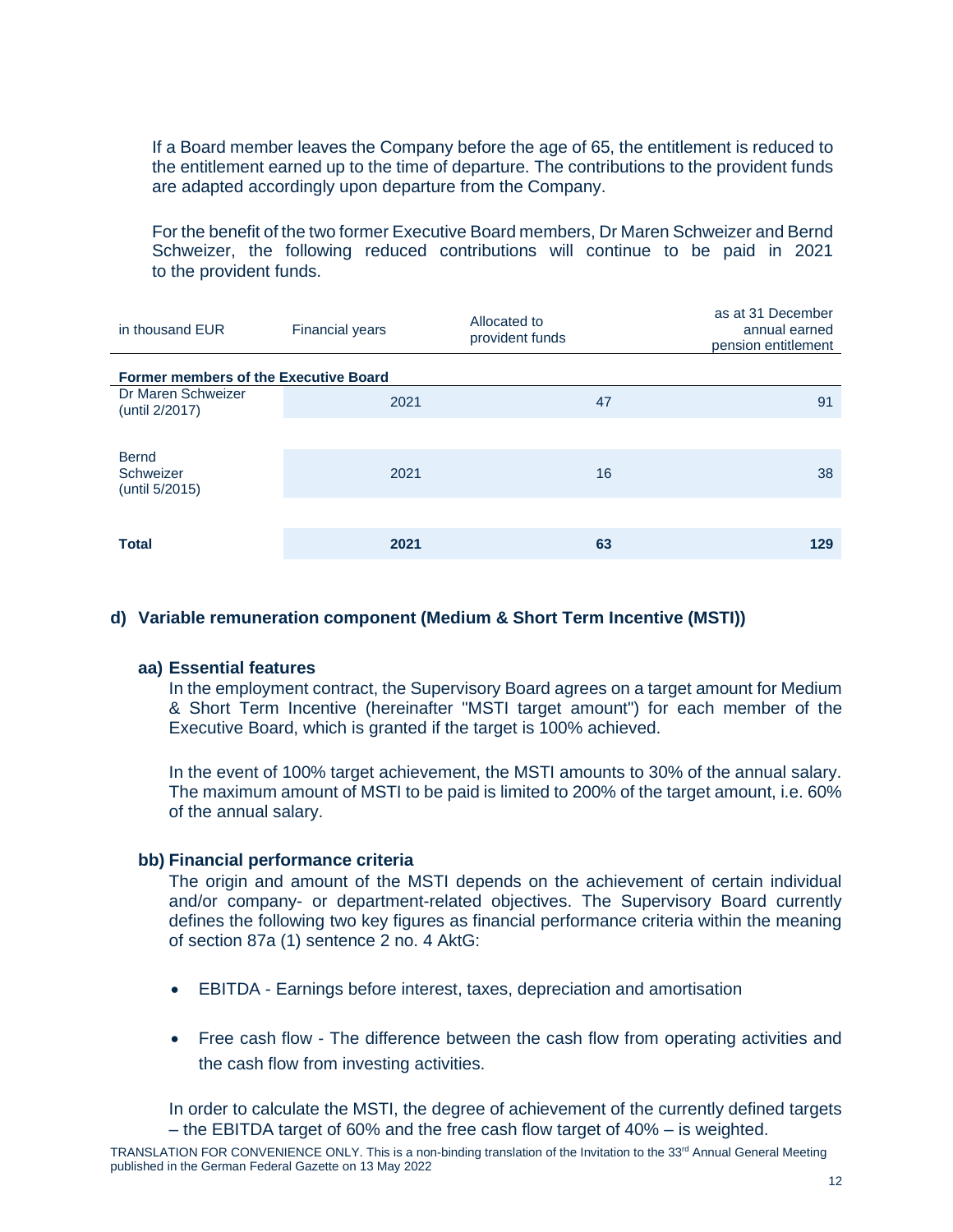If a Board member leaves the Company before the age of 65, the entitlement is reduced to the entitlement earned up to the time of departure. The contributions to the provident funds are adapted accordingly upon departure from the Company.

For the benefit of the two former Executive Board members, Dr Maren Schweizer and Bernd Schweizer, the following reduced contributions will continue to be paid in 2021 to the provident funds.

| in thousand EUR                              | <b>Financial years</b> | Allocated to<br>provident funds | as at 31 December<br>annual earned<br>pension entitlement |
|----------------------------------------------|------------------------|---------------------------------|-----------------------------------------------------------|
| <b>Former members of the Executive Board</b> |                        |                                 |                                                           |
| Dr Maren Schweizer<br>(until 2/2017)         | 2021                   | 47                              | 91                                                        |
|                                              |                        |                                 |                                                           |
| <b>Bernd</b><br>Schweizer<br>(until 5/2015)  | 2021                   | 16                              | 38                                                        |
|                                              |                        |                                 |                                                           |
| <b>Total</b>                                 | 2021                   | 63                              | 129                                                       |

## **d) Variable remuneration component (Medium & Short Term Incentive (MSTI))**

### **aa) Essential features**

In the employment contract, the Supervisory Board agrees on a target amount for Medium & Short Term Incentive (hereinafter "MSTI target amount") for each member of the Executive Board, which is granted if the target is 100% achieved.

In the event of 100% target achievement, the MSTI amounts to 30% of the annual salary. The maximum amount of MSTI to be paid is limited to 200% of the target amount, i.e. 60% of the annual salary.

#### **bb) Financial performance criteria**

The origin and amount of the MSTI depends on the achievement of certain individual and/or company- or department-related objectives. The Supervisory Board currently defines the following two key figures as financial performance criteria within the meaning of section 87a (1) sentence 2 no. 4 AktG:

- EBITDA Earnings before interest, taxes, depreciation and amortisation
- Free cash flow The difference between the cash flow from operating activities and the cash flow from investing activities.

In order to calculate the MSTI, the degree of achievement of the currently defined targets – the EBITDA target of 60% and the free cash flow target of 40% – is weighted.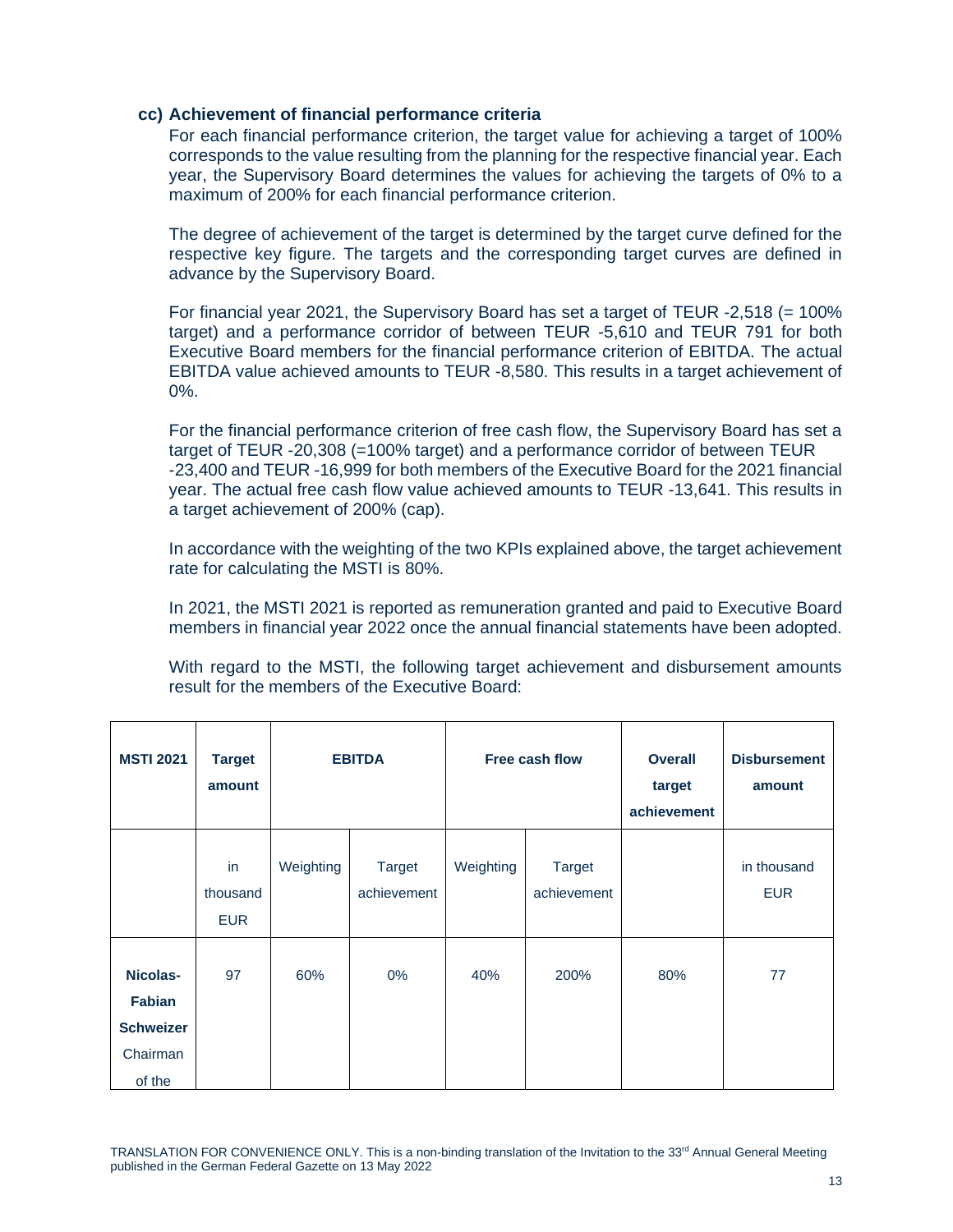### **cc) Achievement of financial performance criteria**

For each financial performance criterion, the target value for achieving a target of 100% corresponds to the value resulting from the planning for the respective financial year. Each year, the Supervisory Board determines the values for achieving the targets of 0% to a maximum of 200% for each financial performance criterion.

The degree of achievement of the target is determined by the target curve defined for the respective key figure. The targets and the corresponding target curves are defined in advance by the Supervisory Board.

For financial year 2021, the Supervisory Board has set a target of TEUR  $-2,518$  (= 100%) target) and a performance corridor of between TEUR -5,610 and TEUR 791 for both Executive Board members for the financial performance criterion of EBITDA. The actual EBITDA value achieved amounts to TEUR -8,580. This results in a target achievement of 0%.

For the financial performance criterion of free cash flow, the Supervisory Board has set a target of TEUR -20,308 (=100% target) and a performance corridor of between TEUR -23,400 and TEUR -16,999 for both members of the Executive Board for the 2021 financial year. The actual free cash flow value achieved amounts to TEUR -13,641. This results in a target achievement of 200% (cap).

In accordance with the weighting of the two KPIs explained above, the target achievement rate for calculating the MSTI is 80%.

In 2021, the MSTI 2021 is reported as remuneration granted and paid to Executive Board members in financial year 2022 once the annual financial statements have been adopted.

With regard to the MSTI, the following target achievement and disbursement amounts result for the members of the Executive Board:

| <b>MSTI 2021</b>                                                    | <b>Target</b><br>amount      |           | <b>EBITDA</b>                |           | Free cash flow               | <b>Overall</b><br>target<br>achievement | <b>Disbursement</b><br>amount |
|---------------------------------------------------------------------|------------------------------|-----------|------------------------------|-----------|------------------------------|-----------------------------------------|-------------------------------|
|                                                                     | in<br>thousand<br><b>EUR</b> | Weighting | <b>Target</b><br>achievement | Weighting | <b>Target</b><br>achievement |                                         | in thousand<br><b>EUR</b>     |
| Nicolas-<br><b>Fabian</b><br><b>Schweizer</b><br>Chairman<br>of the | 97                           | 60%       | $0\%$                        | 40%       | 200%                         | 80%                                     | 77                            |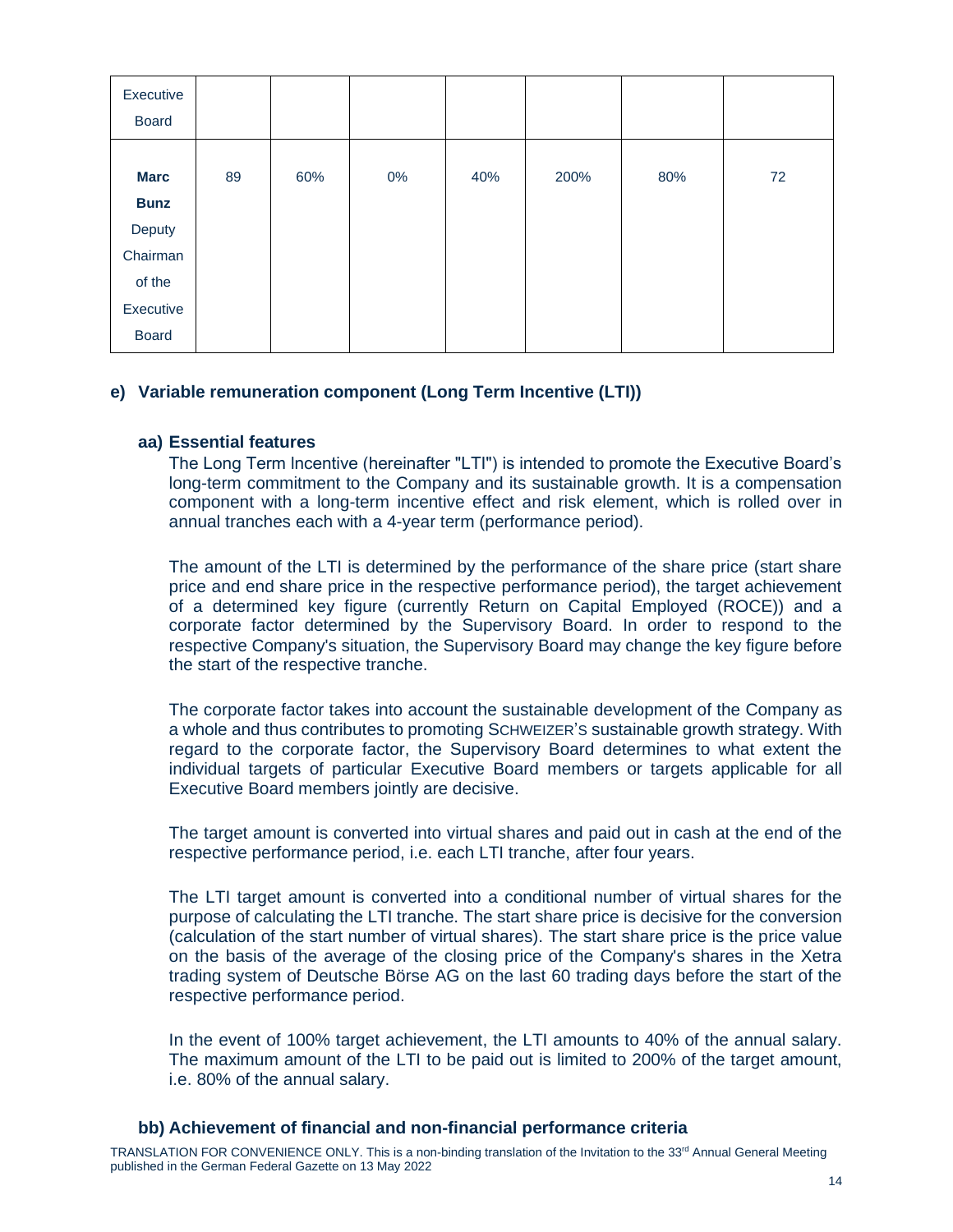| Executive<br><b>Board</b>           |    |     |       |     |      |     |    |
|-------------------------------------|----|-----|-------|-----|------|-----|----|
| <b>Marc</b><br><b>Bunz</b>          | 89 | 60% | $0\%$ | 40% | 200% | 80% | 72 |
| Deputy<br>Chairman                  |    |     |       |     |      |     |    |
| of the<br>Executive<br><b>Board</b> |    |     |       |     |      |     |    |

# **e) Variable remuneration component (Long Term Incentive (LTI))**

#### **aa) Essential features**

The Long Term lncentive (hereinafter "LTI") is intended to promote the Executive Board's long-term commitment to the Company and its sustainable growth. It is a compensation component with a long-term incentive effect and risk element, which is rolled over in annual tranches each with a 4-year term (performance period).

The amount of the LTI is determined by the performance of the share price (start share price and end share price in the respective performance period), the target achievement of a determined key figure (currently Return on Capital Employed (ROCE)) and a corporate factor determined by the Supervisory Board. In order to respond to the respective Company's situation, the Supervisory Board may change the key figure before the start of the respective tranche.

The corporate factor takes into account the sustainable development of the Company as a whole and thus contributes to promoting SCHWEIZER'S sustainable growth strategy. With regard to the corporate factor, the Supervisory Board determines to what extent the individual targets of particular Executive Board members or targets applicable for all Executive Board members jointly are decisive.

The target amount is converted into virtual shares and paid out in cash at the end of the respective performance period, i.e. each LTI tranche, after four years.

The LTI target amount is converted into a conditional number of virtual shares for the purpose of calculating the LTI tranche. The start share price is decisive for the conversion (calculation of the start number of virtual shares). The start share price is the price value on the basis of the average of the closing price of the Company's shares in the Xetra trading system of Deutsche Börse AG on the last 60 trading days before the start of the respective performance period.

In the event of 100% target achievement, the LTI amounts to 40% of the annual salary. The maximum amount of the LTI to be paid out is limited to 200% of the target amount, i.e. 80% of the annual salary.

# **bb) Achievement of financial and non-financial performance criteria**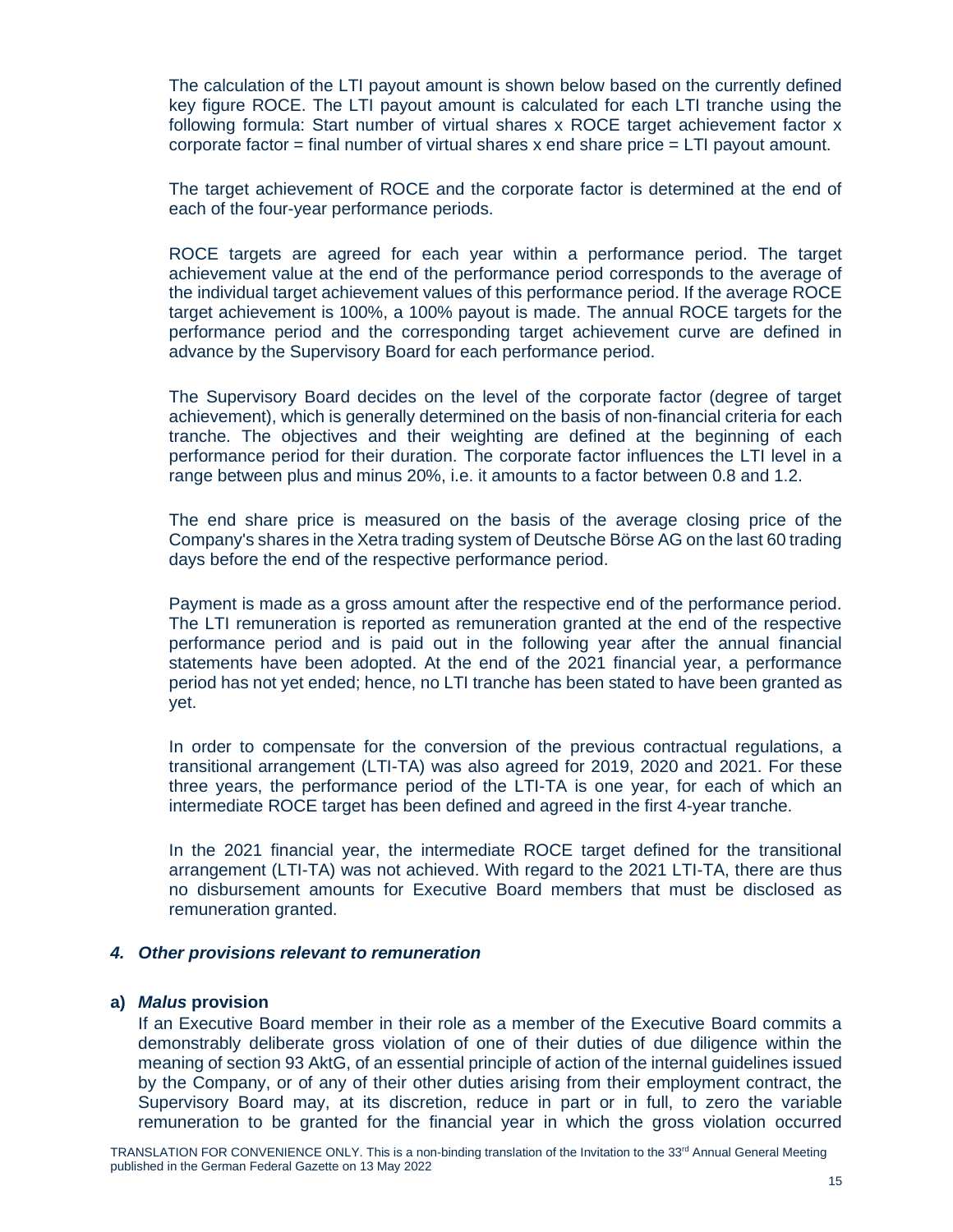The calculation of the LTI payout amount is shown below based on the currently defined key figure ROCE. The LTI payout amount is calculated for each LTI tranche using the following formula: Start number of virtual shares x ROCE target achievement factor x corporate factor = final number of virtual shares x end share price =  $LTI$  payout amount.

The target achievement of ROCE and the corporate factor is determined at the end of each of the four-year performance periods.

ROCE targets are agreed for each year within a performance period. The target achievement value at the end of the performance period corresponds to the average of the individual target achievement values of this performance period. If the average ROCE target achievement is 100%, a 100% payout is made. The annual ROCE targets for the performance period and the corresponding target achievement curve are defined in advance by the Supervisory Board for each performance period.

The Supervisory Board decides on the level of the corporate factor (degree of target achievement), which is generally determined on the basis of non-financial criteria for each tranche. The objectives and their weighting are defined at the beginning of each performance period for their duration. The corporate factor influences the LTI level in a range between plus and minus 20%, i.e. it amounts to a factor between 0.8 and 1.2.

The end share price is measured on the basis of the average closing price of the Company's shares in the Xetra trading system of Deutsche Börse AG on the last 60 trading days before the end of the respective performance period.

Payment is made as a gross amount after the respective end of the performance period. The LTI remuneration is reported as remuneration granted at the end of the respective performance period and is paid out in the following year after the annual financial statements have been adopted. At the end of the 2021 financial year, a performance period has not yet ended; hence, no LTI tranche has been stated to have been granted as yet.

In order to compensate for the conversion of the previous contractual regulations, a transitional arrangement (LTI-TA) was also agreed for 2019, 2020 and 2021. For these three years, the performance period of the LTI-TA is one year, for each of which an intermediate ROCE target has been defined and agreed in the first 4-year tranche.

In the 2021 financial year, the intermediate ROCE target defined for the transitional arrangement (LTI-TA) was not achieved. With regard to the 2021 LTI-TA, there are thus no disbursement amounts for Executive Board members that must be disclosed as remuneration granted.

# *4. Other provisions relevant to remuneration*

## **a)** *Malus* **provision**

If an Executive Board member in their role as a member of the Executive Board commits a demonstrably deliberate gross violation of one of their duties of due diligence within the meaning of section 93 AktG, of an essential principle of action of the internal guidelines issued by the Company, or of any of their other duties arising from their employment contract, the Supervisory Board may, at its discretion, reduce in part or in full, to zero the variable remuneration to be granted for the financial year in which the gross violation occurred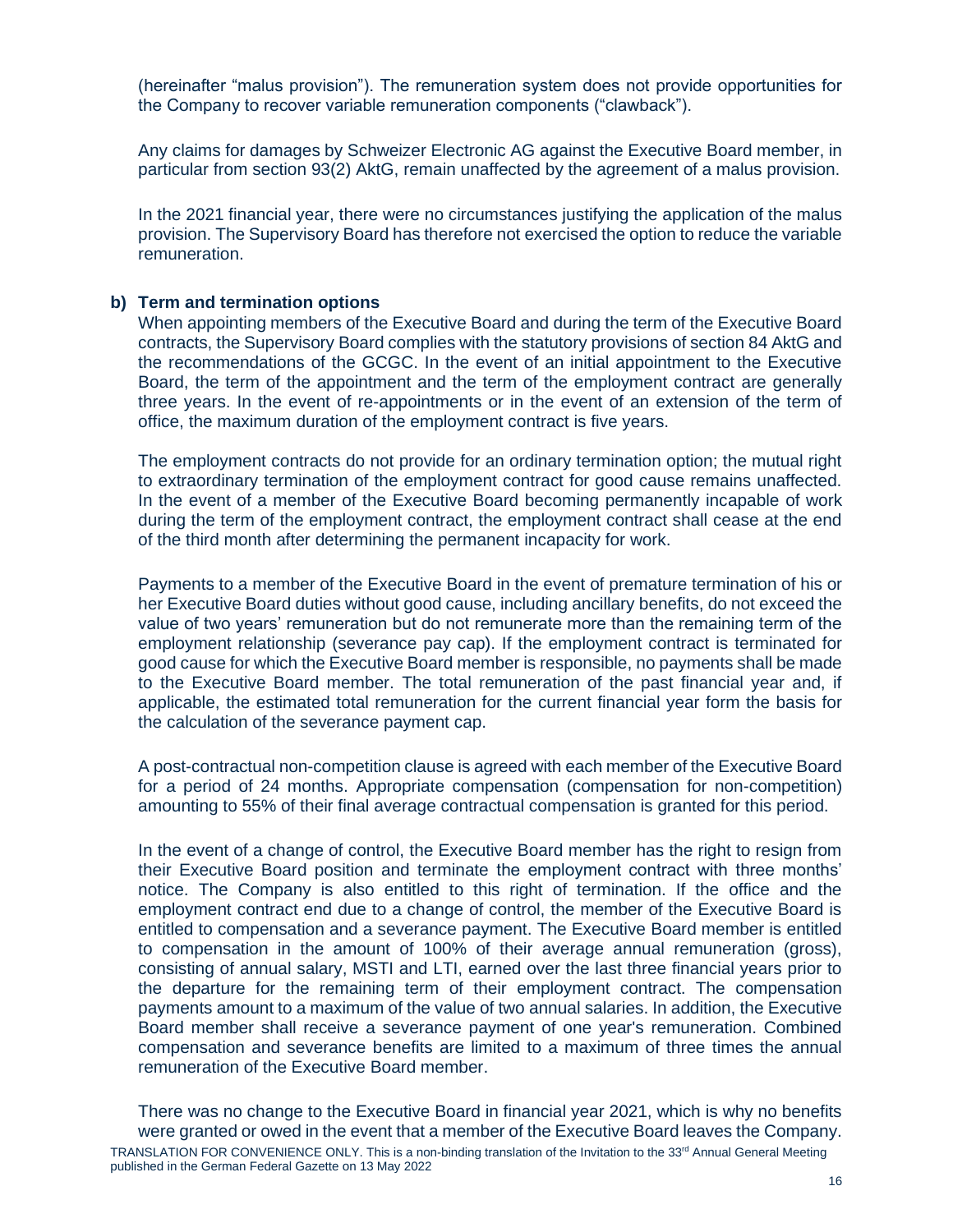(hereinafter "malus provision"). The remuneration system does not provide opportunities for the Company to recover variable remuneration components ("clawback").

Any claims for damages by Schweizer Electronic AG against the Executive Board member, in particular from section 93(2) AktG, remain unaffected by the agreement of a malus provision.

In the 2021 financial year, there were no circumstances justifying the application of the malus provision. The Supervisory Board has therefore not exercised the option to reduce the variable remuneration.

# **b) Term and termination options**

When appointing members of the Executive Board and during the term of the Executive Board contracts, the Supervisory Board complies with the statutory provisions of section 84 AktG and the recommendations of the GCGC. In the event of an initial appointment to the Executive Board, the term of the appointment and the term of the employment contract are generally three years. In the event of re-appointments or in the event of an extension of the term of office, the maximum duration of the employment contract is five years.

The employment contracts do not provide for an ordinary termination option; the mutual right to extraordinary termination of the employment contract for good cause remains unaffected. In the event of a member of the Executive Board becoming permanently incapable of work during the term of the employment contract, the employment contract shall cease at the end of the third month after determining the permanent incapacity for work.

Payments to a member of the Executive Board in the event of premature termination of his or her Executive Board duties without good cause, including ancillary benefits, do not exceed the value of two years' remuneration but do not remunerate more than the remaining term of the employment relationship (severance pay cap). If the employment contract is terminated for good cause for which the Executive Board member is responsible, no payments shall be made to the Executive Board member. The total remuneration of the past financial year and, if applicable, the estimated total remuneration for the current financial year form the basis for the calculation of the severance payment cap.

A post-contractual non-competition clause is agreed with each member of the Executive Board for a period of 24 months. Appropriate compensation (compensation for non-competition) amounting to 55% of their final average contractual compensation is granted for this period.

In the event of a change of control, the Executive Board member has the right to resign from their Executive Board position and terminate the employment contract with three months' notice. The Company is also entitled to this right of termination. If the office and the employment contract end due to a change of control, the member of the Executive Board is entitled to compensation and a severance payment. The Executive Board member is entitled to compensation in the amount of 100% of their average annual remuneration (gross), consisting of annual salary, MSTI and LTI, earned over the last three financial years prior to the departure for the remaining term of their employment contract. The compensation payments amount to a maximum of the value of two annual salaries. In addition, the Executive Board member shall receive a severance payment of one year's remuneration. Combined compensation and severance benefits are limited to a maximum of three times the annual remuneration of the Executive Board member.

TRANSLATION FOR CONVENIENCE ONLY. This is a non-binding translation of the Invitation to the 33<sup>rd</sup> Annual General Meeting published in the German Federal Gazette on 13 May 2022 There was no change to the Executive Board in financial year 2021, which is why no benefits were granted or owed in the event that a member of the Executive Board leaves the Company.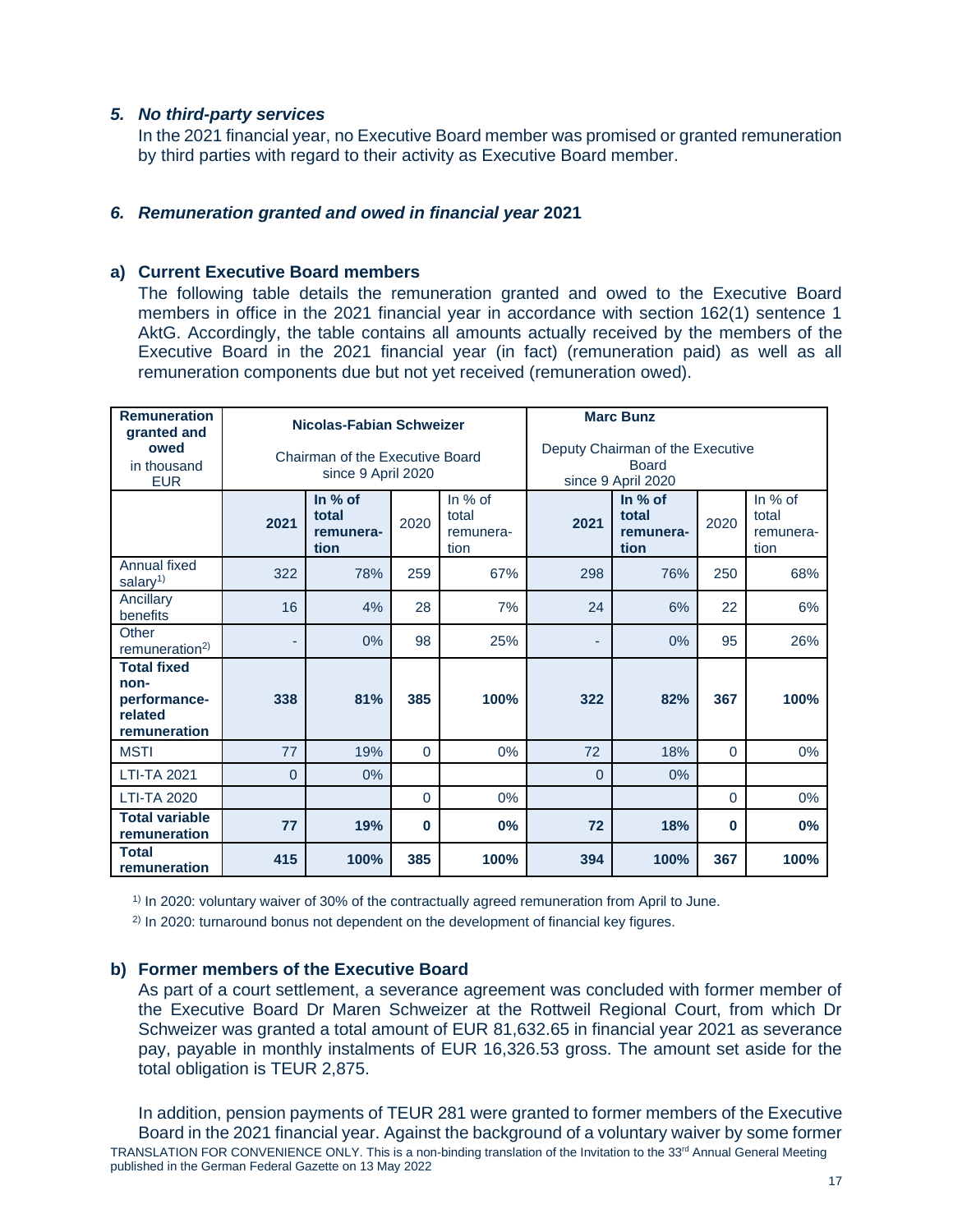# *5. No third-party services*

In the 2021 financial year, no Executive Board member was promised or granted remuneration by third parties with regard to their activity as Executive Board member.

# *6. Remuneration granted and owed in financial year* **2021**

# <span id="page-16-0"></span>**a) Current Executive Board members**

The following table details the remuneration granted and owed to the Executive Board members in office in the 2021 financial year in accordance with section 162(1) sentence 1 AktG. Accordingly, the table contains all amounts actually received by the members of the Executive Board in the 2021 financial year (in fact) (remuneration paid) as well as all remuneration components due but not yet received (remuneration owed).

| <b>Remuneration</b><br>granted and<br>owed<br>in thousand<br><b>EUR</b> |                | Nicolas-Fabian Schweizer<br>Chairman of the Executive Board<br>since 9 April 2020          |              |      | <b>Marc Bunz</b><br>Deputy Chairman of the Executive<br><b>Board</b><br>since 9 April 2020 |                                         |          |                                       |
|-------------------------------------------------------------------------|----------------|--------------------------------------------------------------------------------------------|--------------|------|--------------------------------------------------------------------------------------------|-----------------------------------------|----------|---------------------------------------|
|                                                                         | 2021           | In $%$ of<br>In $%$ of<br>total<br>total<br>2020<br>remunera-<br>remunera-<br>tion<br>tion |              |      | 2021                                                                                       | In $%$ of<br>total<br>remunera-<br>tion | 2020     | In % of<br>total<br>remunera-<br>tion |
| Annual fixed<br>salary <sup>1)</sup>                                    | 322            | 78%                                                                                        | 259          | 67%  | 298                                                                                        | 76%                                     | 250      | 68%                                   |
| Ancillary<br>benefits                                                   | 16             | 4%                                                                                         | 28           | 7%   | 24                                                                                         | 6%                                      | 22       | 6%                                    |
| Other<br>remuneration <sup>2)</sup>                                     | ٠              | 0%                                                                                         | 98           | 25%  | ٠                                                                                          | 0%                                      | 95       | 26%                                   |
| <b>Total fixed</b><br>non-<br>performance-<br>related<br>remuneration   | 338            | 81%                                                                                        | 385          | 100% | 322                                                                                        | 82%                                     | 367      | 100%                                  |
| <b>MSTI</b>                                                             | 77             | 19%                                                                                        | $\mathbf{0}$ | 0%   | 72                                                                                         | 18%                                     | $\Omega$ | $0\%$                                 |
| <b>LTI-TA 2021</b>                                                      | $\overline{0}$ | 0%                                                                                         |              |      | $\Omega$                                                                                   | 0%                                      |          |                                       |
| <b>LTI-TA 2020</b>                                                      |                |                                                                                            | $\Omega$     | 0%   |                                                                                            |                                         | $\Omega$ | 0%                                    |
| <b>Total variable</b><br>remuneration                                   | 77             | 0%<br>19%<br>$\bf{0}$                                                                      |              |      |                                                                                            | 18%                                     | $\bf{0}$ | 0%                                    |
| <b>Total</b><br>remuneration                                            | 415            | 100%                                                                                       | 385          | 100% | 394                                                                                        | 100%                                    | 367      | 100%                                  |

1) In 2020: voluntary waiver of 30% of the contractually agreed remuneration from April to June.

 $2)$  In 2020: turnaround bonus not dependent on the development of financial key figures.

# **b) Former members of the Executive Board**

As part of a court settlement, a severance agreement was concluded with former member of the Executive Board Dr Maren Schweizer at the Rottweil Regional Court, from which Dr Schweizer was granted a total amount of EUR 81,632.65 in financial year 2021 as severance pay, payable in monthly instalments of EUR 16,326.53 gross. The amount set aside for the total obligation is TEUR 2,875.

TRANSLATION FOR CONVENIENCE ONLY. This is a non-binding translation of the Invitation to the 33<sup>rd</sup> Annual General Meeting published in the German Federal Gazette on 13 May 2022 17 and 17 and 17 and 17 and 17 and 17 and 17 and 17 and 17 and 17 and 17 and 17 and 17 In addition, pension payments of TEUR 281 were granted to former members of the Executive Board in the 2021 financial year. Against the background of a voluntary waiver by some former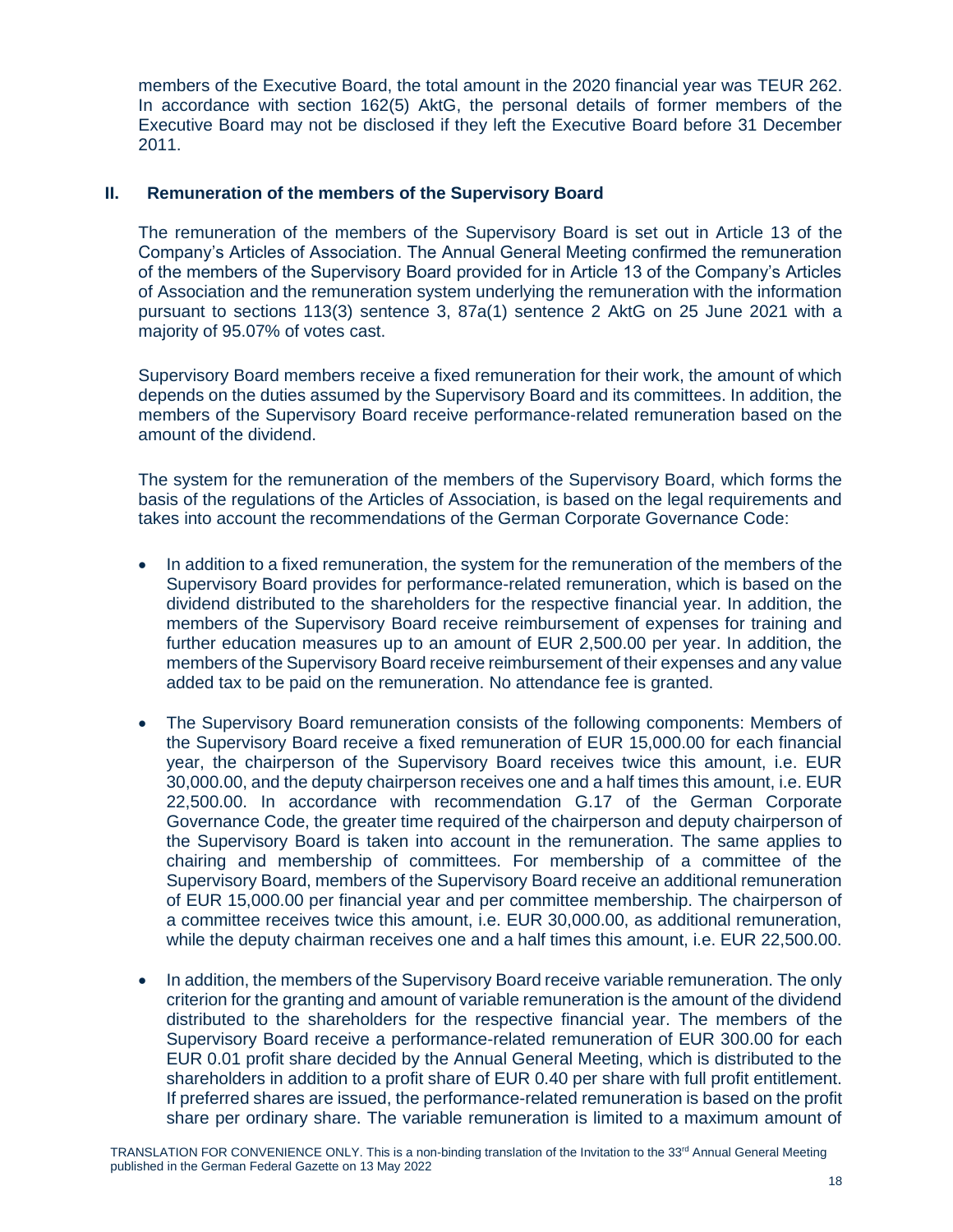members of the Executive Board, the total amount in the 2020 financial year was TEUR 262. In accordance with section 162(5) AktG, the personal details of former members of the Executive Board may not be disclosed if they left the Executive Board before 31 December 2011.

# **II. Remuneration of the members of the Supervisory Board**

The remuneration of the members of the Supervisory Board is set out in Article 13 of the Company's Articles of Association. The Annual General Meeting confirmed the remuneration of the members of the Supervisory Board provided for in Article 13 of the Company's Articles of Association and the remuneration system underlying the remuneration with the information pursuant to sections 113(3) sentence 3, 87a(1) sentence 2 AktG on 25 June 2021 with a majority of 95.07% of votes cast.

Supervisory Board members receive a fixed remuneration for their work, the amount of which depends on the duties assumed by the Supervisory Board and its committees. In addition, the members of the Supervisory Board receive performance-related remuneration based on the amount of the dividend.

The system for the remuneration of the members of the Supervisory Board, which forms the basis of the regulations of the Articles of Association, is based on the legal requirements and takes into account the recommendations of the German Corporate Governance Code:

- In addition to a fixed remuneration, the system for the remuneration of the members of the Supervisory Board provides for performance-related remuneration, which is based on the dividend distributed to the shareholders for the respective financial year. In addition, the members of the Supervisory Board receive reimbursement of expenses for training and further education measures up to an amount of EUR 2,500.00 per year. In addition, the members of the Supervisory Board receive reimbursement of their expenses and any value added tax to be paid on the remuneration. No attendance fee is granted.
- The Supervisory Board remuneration consists of the following components: Members of the Supervisory Board receive a fixed remuneration of EUR 15,000.00 for each financial year, the chairperson of the Supervisory Board receives twice this amount, i.e. EUR 30,000.00, and the deputy chairperson receives one and a half times this amount, i.e. EUR 22,500.00. In accordance with recommendation G.17 of the German Corporate Governance Code, the greater time required of the chairperson and deputy chairperson of the Supervisory Board is taken into account in the remuneration. The same applies to chairing and membership of committees. For membership of a committee of the Supervisory Board, members of the Supervisory Board receive an additional remuneration of EUR 15,000.00 per financial year and per committee membership. The chairperson of a committee receives twice this amount, i.e. EUR 30,000.00, as additional remuneration, while the deputy chairman receives one and a half times this amount, i.e. EUR 22,500.00.
- In addition, the members of the Supervisory Board receive variable remuneration. The only criterion for the granting and amount of variable remuneration is the amount of the dividend distributed to the shareholders for the respective financial year. The members of the Supervisory Board receive a performance-related remuneration of EUR 300.00 for each EUR 0.01 profit share decided by the Annual General Meeting, which is distributed to the shareholders in addition to a profit share of EUR 0.40 per share with full profit entitlement. If preferred shares are issued, the performance-related remuneration is based on the profit share per ordinary share. The variable remuneration is limited to a maximum amount of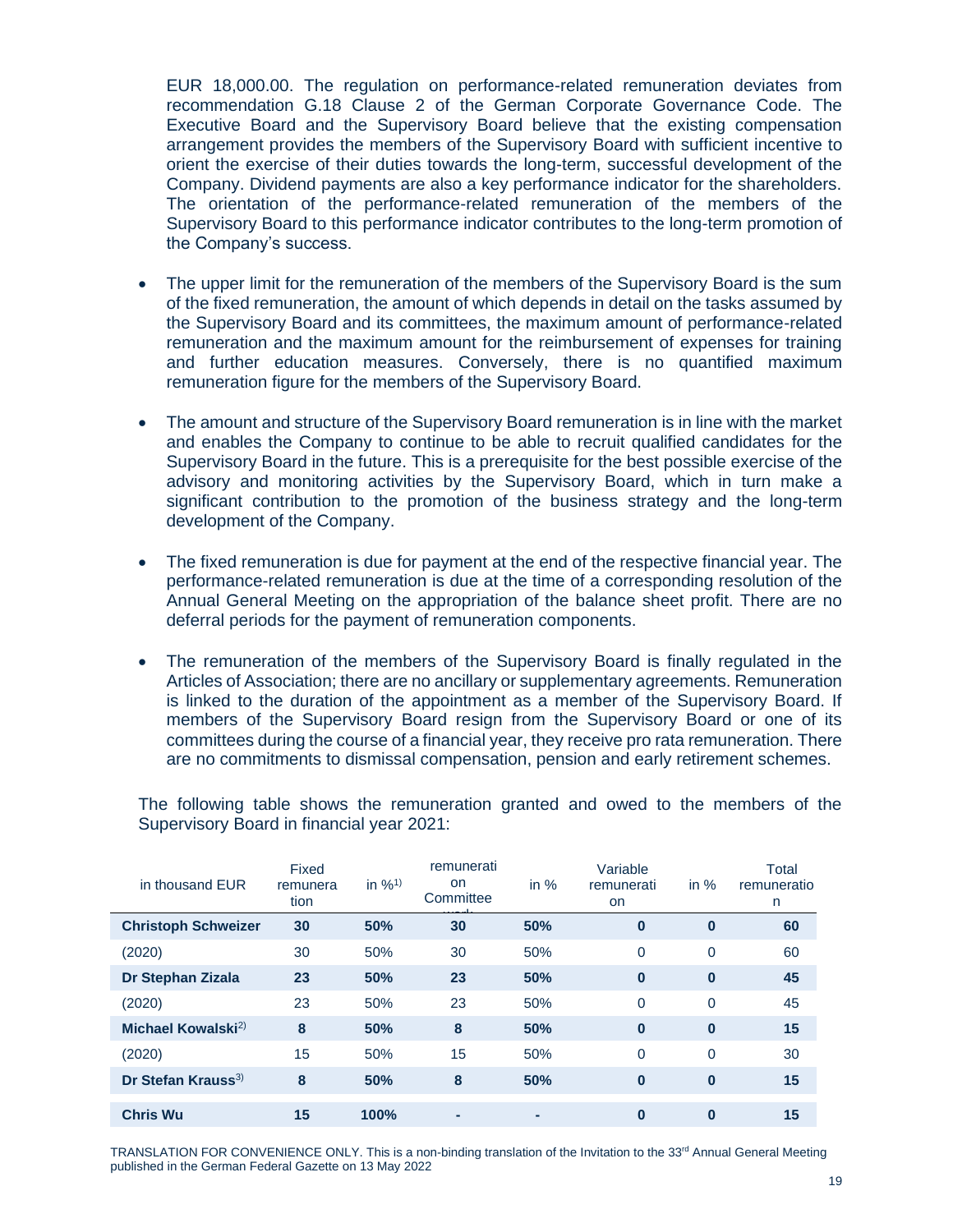EUR 18,000.00. The regulation on performance-related remuneration deviates from recommendation G.18 Clause 2 of the German Corporate Governance Code. The Executive Board and the Supervisory Board believe that the existing compensation arrangement provides the members of the Supervisory Board with sufficient incentive to orient the exercise of their duties towards the long-term, successful development of the Company. Dividend payments are also a key performance indicator for the shareholders. The orientation of the performance-related remuneration of the members of the Supervisory Board to this performance indicator contributes to the long-term promotion of the Company's success.

- The upper limit for the remuneration of the members of the Supervisory Board is the sum of the fixed remuneration, the amount of which depends in detail on the tasks assumed by the Supervisory Board and its committees, the maximum amount of performance-related remuneration and the maximum amount for the reimbursement of expenses for training and further education measures. Conversely, there is no quantified maximum remuneration figure for the members of the Supervisory Board.
- The amount and structure of the Supervisory Board remuneration is in line with the market and enables the Company to continue to be able to recruit qualified candidates for the Supervisory Board in the future. This is a prerequisite for the best possible exercise of the advisory and monitoring activities by the Supervisory Board, which in turn make a significant contribution to the promotion of the business strategy and the long-term development of the Company.
- The fixed remuneration is due for payment at the end of the respective financial year. The performance-related remuneration is due at the time of a corresponding resolution of the Annual General Meeting on the appropriation of the balance sheet profit. There are no deferral periods for the payment of remuneration components.
- The remuneration of the members of the Supervisory Board is finally regulated in the Articles of Association; there are no ancillary or supplementary agreements. Remuneration is linked to the duration of the appointment as a member of the Supervisory Board. If members of the Supervisory Board resign from the Supervisory Board or one of its committees during the course of a financial year, they receive pro rata remuneration. There are no commitments to dismissal compensation, pension and early retirement schemes.

| in thousand EUR                | Fixed<br>remunera<br>tion | in $\frac{9}{10}$ | remunerati<br>on<br>Committee | in $%$ | Variable<br>remunerati<br><b>on</b> | in $%$   | Total<br>remuneratio<br>n |
|--------------------------------|---------------------------|-------------------|-------------------------------|--------|-------------------------------------|----------|---------------------------|
| <b>Christoph Schweizer</b>     | 30                        | 50%               | 30                            | 50%    | $\bf{0}$                            | $\bf{0}$ | 60                        |
| (2020)                         | 30                        | 50%               | 30                            | 50%    | $\Omega$                            | 0        | 60                        |
| <b>Dr Stephan Zizala</b>       | 23                        | 50%               | 23                            | 50%    | $\bf{0}$                            | $\bf{0}$ | 45                        |
| (2020)                         | 23                        | 50%               | 23                            | 50%    | $\Omega$                            | 0        | 45                        |
| Michael Kowalski <sup>2)</sup> | 8                         | 50%               | 8                             | 50%    | $\mathbf{0}$                        | $\bf{0}$ | 15                        |
| (2020)                         | 15                        | 50%               | 15                            | 50%    | $\overline{0}$                      | 0        | 30                        |
| Dr Stefan Krauss <sup>3)</sup> | 8                         | 50%               | 8                             | 50%    | $\bf{0}$                            | $\bf{0}$ | 15                        |
| <b>Chris Wu</b>                | 15                        | 100%              | ۰                             |        | $\bf{0}$                            | $\bf{0}$ | 15                        |

The following table shows the remuneration granted and owed to the members of the Supervisory Board in financial year 2021:

TRANSLATION FOR CONVENIENCE ONLY. This is a non-binding translation of the Invitation to the 33<sup>rd</sup> Annual General Meeting published in the German Federal Gazette on 13 May 2022  $19$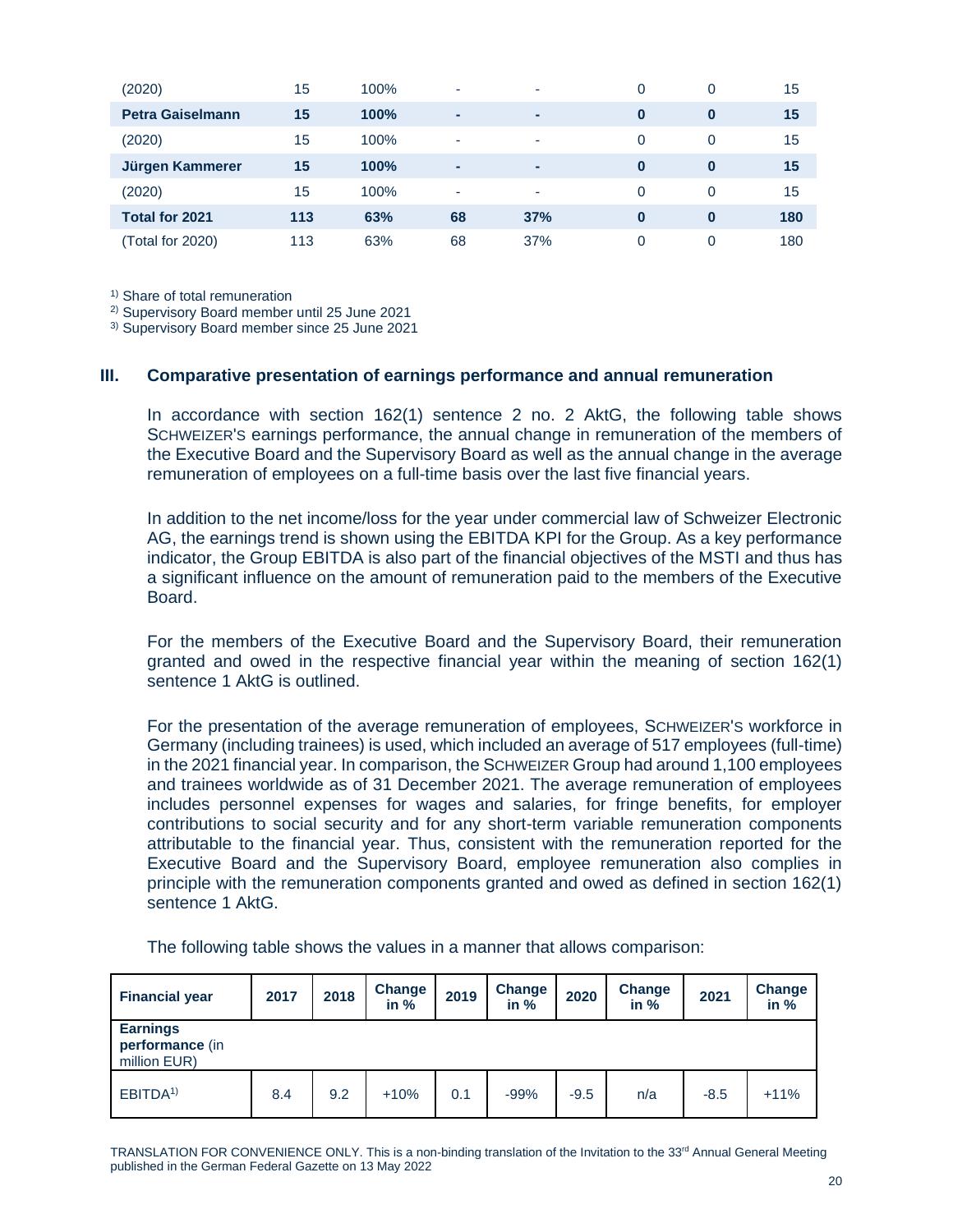| (2020)                  | 15  | 100% | ۰  | ۰   | 0 | 0        | 15  |
|-------------------------|-----|------|----|-----|---|----------|-----|
| <b>Petra Gaiselmann</b> | 15  | 100% | ٠  |     | 0 | $\bf{0}$ | 15  |
| (2020)                  | 15  | 100% | ۰  | ۰   | 0 | 0        | 15  |
| Jürgen Kammerer         | 15  | 100% | ٠  | ۰   | 0 | $\bf{0}$ | 15  |
| (2020)                  | 15  | 100% | ۰  | ۰   | 0 | 0        | 15  |
| <b>Total for 2021</b>   | 113 | 63%  | 68 | 37% | 0 | $\bf{0}$ | 180 |
| (Total for 2020)        | 113 | 63%  | 68 | 37% | 0 | 0        | 180 |

<sup>1)</sup> Share of total remuneration

2) Supervisory Board member until 25 June 2021

3) Supervisory Board member since 25 June 2021

#### **III. Comparative presentation of earnings performance and annual remuneration**

In accordance with section 162(1) sentence 2 no. 2 AktG, the following table shows SCHWEIZER'S earnings performance, the annual change in remuneration of the members of the Executive Board and the Supervisory Board as well as the annual change in the average remuneration of employees on a full-time basis over the last five financial years.

In addition to the net income/loss for the year under commercial law of Schweizer Electronic AG, the earnings trend is shown using the EBITDA KPI for the Group. As a key performance indicator, the Group EBITDA is also part of the financial objectives of the MSTI and thus has a significant influence on the amount of remuneration paid to the members of the Executive **Board** 

For the members of the Executive Board and the Supervisory Board, their remuneration granted and owed in the respective financial year within the meaning of section 162(1) sentence 1 AktG is outlined.

For the presentation of the average remuneration of employees, SCHWEIZER'S workforce in Germany (including trainees) is used, which included an average of 517 employees (full-time) in the 2021 financial year. In comparison, the SCHWEIZER Group had around 1,100 employees and trainees worldwide as of 31 December 2021. The average remuneration of employees includes personnel expenses for wages and salaries, for fringe benefits, for employer contributions to social security and for any short-term variable remuneration components attributable to the financial year. Thus, consistent with the remuneration reported for the Executive Board and the Supervisory Board, employee remuneration also complies in principle with the remuneration components granted and owed as defined in section 162(1) sentence 1 AktG.

| <b>Financial year</b>                              | 2017 | 2018 | Change<br>in $%$ | 2019 | Change<br>in $%$ | 2020   | <b>Change</b><br>in $%$ | 2021   | Change<br>in $%$ |
|----------------------------------------------------|------|------|------------------|------|------------------|--------|-------------------------|--------|------------------|
| <b>Earnings</b><br>performance (in<br>million EUR) |      |      |                  |      |                  |        |                         |        |                  |
| EBITDA <sup>1)</sup>                               | 8.4  | 9.2  | $+10%$           | 0.1  | $-99%$           | $-9.5$ | n/a                     | $-8.5$ | $+11%$           |

The following table shows the values in a manner that allows comparison:

TRANSLATION FOR CONVENIENCE ONLY. This is a non-binding translation of the Invitation to the 33<sup>rd</sup> Annual General Meeting published in the German Federal Gazette on 13 May 2022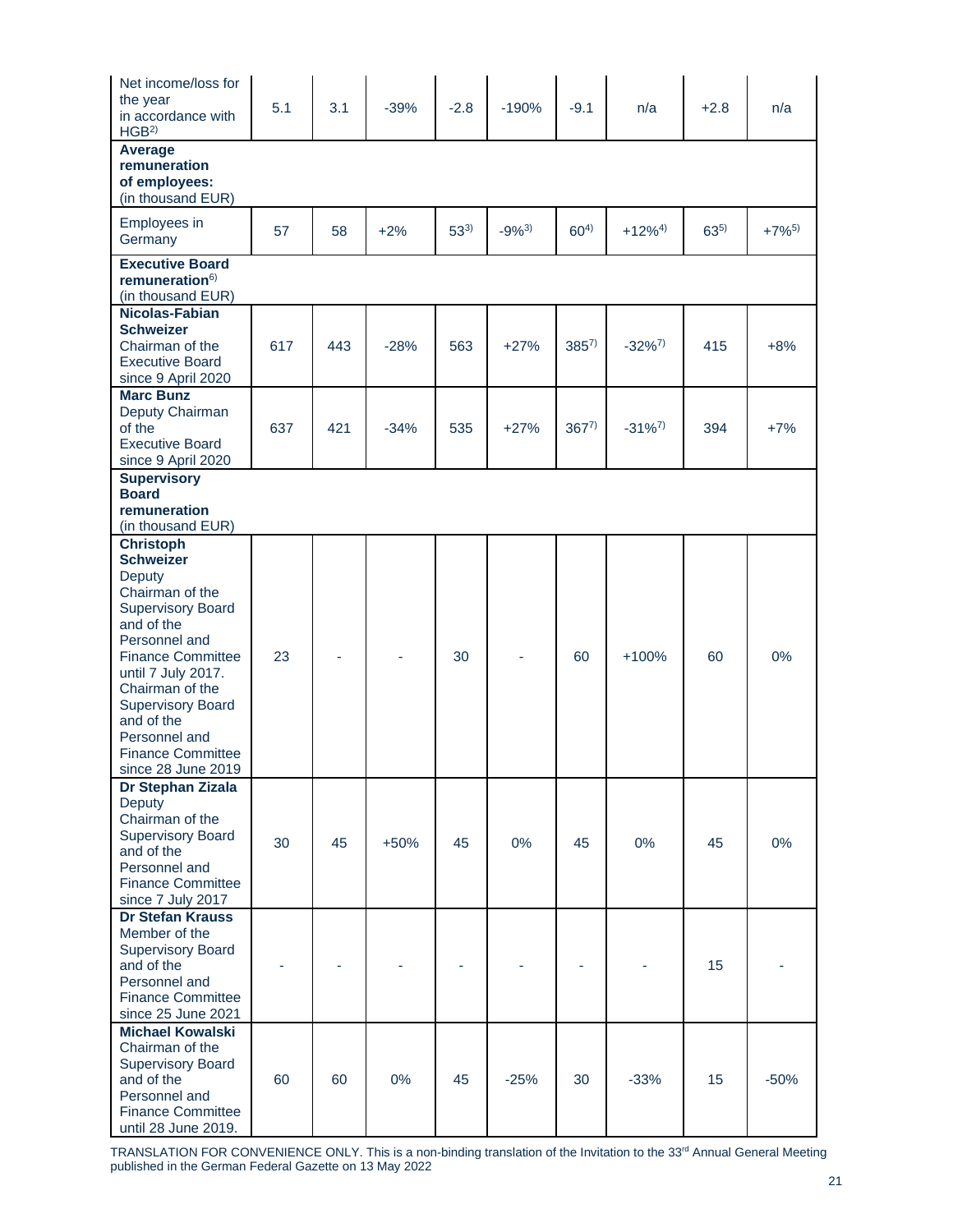| Net income/loss for<br>the year<br>in accordance with<br>HGB <sup>2</sup>                                                                                                                                                                                                                                      | 5.1 | 3.1 | $-39%$ | $-2.8$   | $-190%$   | $-9.1$    | n/a         | $+2.8$   | n/a        |
|----------------------------------------------------------------------------------------------------------------------------------------------------------------------------------------------------------------------------------------------------------------------------------------------------------------|-----|-----|--------|----------|-----------|-----------|-------------|----------|------------|
| Average<br>remuneration<br>of employees:<br>(in thousand EUR)                                                                                                                                                                                                                                                  |     |     |        |          |           |           |             |          |            |
| Employees in<br>Germany                                                                                                                                                                                                                                                                                        | 57  | 58  | $+2%$  | $53^{3}$ | $-9%^{3}$ | $60^{4}$  | $+12\%^{4}$ | $63^{5}$ | $+7\%^{5}$ |
| <b>Executive Board</b><br>remuneration $6$<br>(in thousand EUR)                                                                                                                                                                                                                                                |     |     |        |          |           |           |             |          |            |
| Nicolas-Fabian<br><b>Schweizer</b><br>Chairman of the<br><b>Executive Board</b><br>since 9 April 2020                                                                                                                                                                                                          | 617 | 443 | $-28%$ | 563      | $+27%$    | $385^{7}$ | $-32\%^{7}$ | 415      | $+8%$      |
| <b>Marc Bunz</b><br>Deputy Chairman<br>of the<br><b>Executive Board</b><br>since 9 April 2020                                                                                                                                                                                                                  | 637 | 421 | $-34%$ | 535      | $+27%$    | $367^{7}$ | $-31\%^{7}$ | 394      | $+7%$      |
| <b>Supervisory</b><br><b>Board</b><br>remuneration<br>(in thousand EUR)                                                                                                                                                                                                                                        |     |     |        |          |           |           |             |          |            |
| <b>Christoph</b><br><b>Schweizer</b><br>Deputy<br>Chairman of the<br><b>Supervisory Board</b><br>and of the<br>Personnel and<br><b>Finance Committee</b><br>until 7 July 2017.<br>Chairman of the<br><b>Supervisory Board</b><br>and of the<br>Personnel and<br><b>Finance Committee</b><br>since 28 June 2019 | 23  |     |        | 30       |           | 60        | +100%       | 60       | 0%         |
| Dr Stephan Zizala<br>Deputy<br>Chairman of the<br><b>Supervisory Board</b><br>and of the<br>Personnel and<br><b>Finance Committee</b><br>since 7 July 2017                                                                                                                                                     | 30  | 45  | $+50%$ | 45       | 0%        | 45        | 0%          | 45       | 0%         |
| <b>Dr Stefan Krauss</b><br>Member of the<br><b>Supervisory Board</b><br>and of the<br>Personnel and<br><b>Finance Committee</b><br>since 25 June 2021                                                                                                                                                          |     |     |        |          |           |           |             | 15       |            |
| <b>Michael Kowalski</b><br>Chairman of the<br><b>Supervisory Board</b><br>and of the<br>Personnel and<br><b>Finance Committee</b><br>until 28 June 2019.                                                                                                                                                       | 60  | 60  | 0%     | 45       | $-25%$    | 30        | $-33%$      | 15       | $-50%$     |

TRANSLATION FOR CONVENIENCE ONLY. This is a non-binding translation of the Invitation to the 33<sup>rd</sup> Annual General Meeting published in the German Federal Gazette on 13 May 2022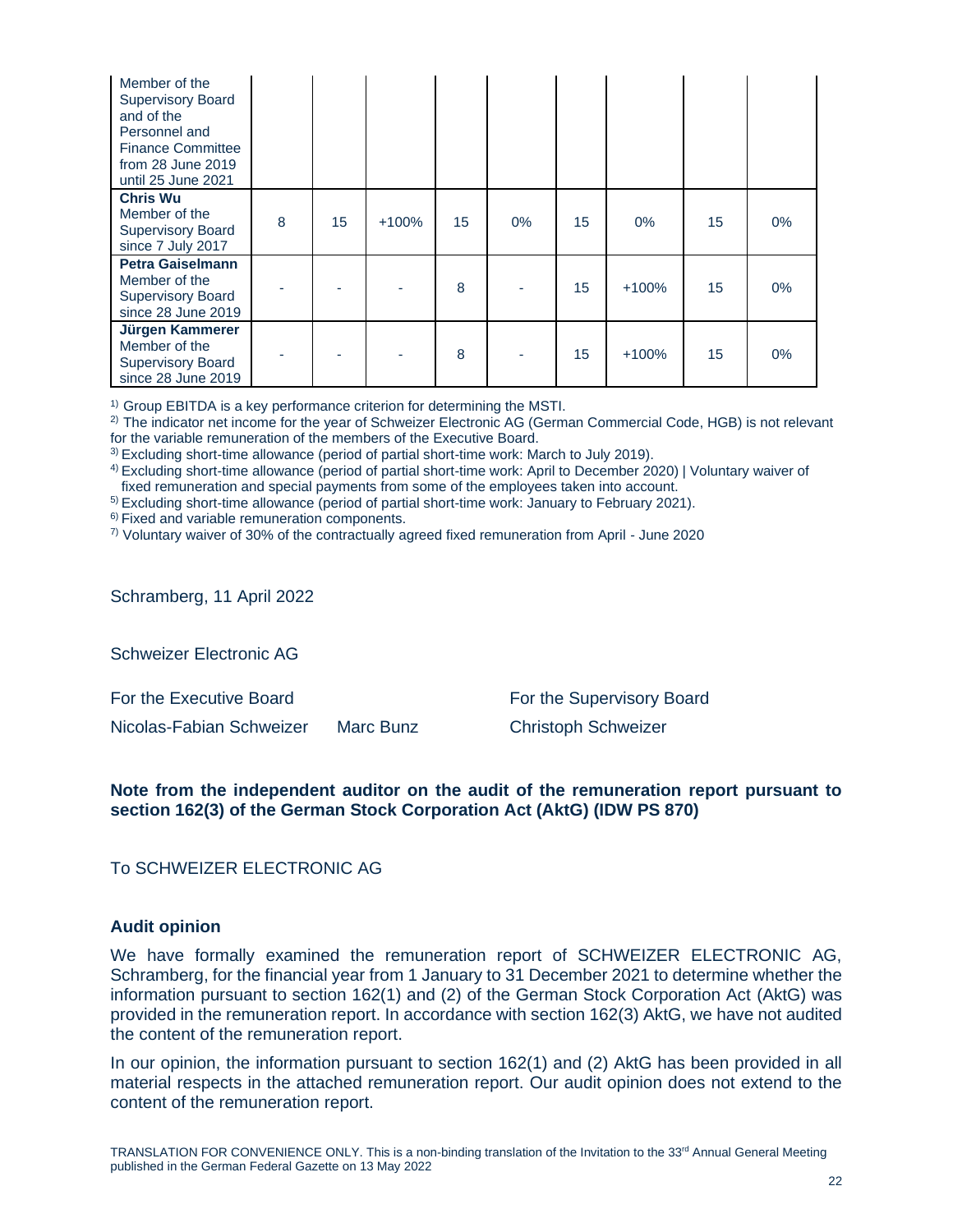| Member of the<br><b>Supervisory Board</b><br>and of the<br>Personnel and<br><b>Finance Committee</b><br>from 28 June 2019<br>until 25 June 2021 |   |    |         |    |       |    |         |    |    |
|-------------------------------------------------------------------------------------------------------------------------------------------------|---|----|---------|----|-------|----|---------|----|----|
| <b>Chris Wu</b><br>Member of the<br><b>Supervisory Board</b><br>since 7 July 2017                                                               | 8 | 15 | $+100%$ | 15 | $0\%$ | 15 | $0\%$   | 15 | 0% |
| <b>Petra Gaiselmann</b><br>Member of the<br><b>Supervisory Board</b><br>since 28 June 2019                                                      |   |    |         | 8  |       | 15 | $+100%$ | 15 | 0% |
| Jürgen Kammerer<br>Member of the<br><b>Supervisory Board</b><br>since 28 June 2019                                                              |   |    |         | 8  |       | 15 | $+100%$ | 15 | 0% |

<sup>1)</sup> Group EBITDA is a key performance criterion for determining the MSTI.

<sup>2)</sup> The indicator net income for the year of Schweizer Electronic AG (German Commercial Code, HGB) is not relevant for the variable remuneration of the members of the Executive Board.

3) Excluding short-time allowance (period of partial short-time work: March to July 2019).

4) Excluding short-time allowance (period of partial short-time work: April to December 2020) | Voluntary waiver of fixed remuneration and special payments from some of the employees taken into account.

5) Excluding short-time allowance (period of partial short-time work: January to February 2021).

6) Fixed and variable remuneration components.

7) Voluntary waiver of 30% of the contractually agreed fixed remuneration from April - June 2020

Schramberg, 11 April 2022

Schweizer Electronic AG

Nicolas-Fabian Schweizer Marc Bunz Christoph Schweizer

For the Executive Board For the Supervisory Board

# **Note from the independent auditor on the audit of the remuneration report pursuant to section 162(3) of the German Stock Corporation Act (AktG) (IDW PS 870)**

To SCHWEIZER ELECTRONIC AG

#### **Audit opinion**

We have formally examined the remuneration report of SCHWEIZER ELECTRONIC AG, Schramberg, for the financial year from 1 January to 31 December 2021 to determine whether the information pursuant to section 162(1) and (2) of the German Stock Corporation Act (AktG) was provided in the remuneration report. In accordance with section 162(3) AktG, we have not audited the content of the remuneration report.

In our opinion, the information pursuant to section 162(1) and (2) AktG has been provided in all material respects in the attached remuneration report. Our audit opinion does not extend to the content of the remuneration report.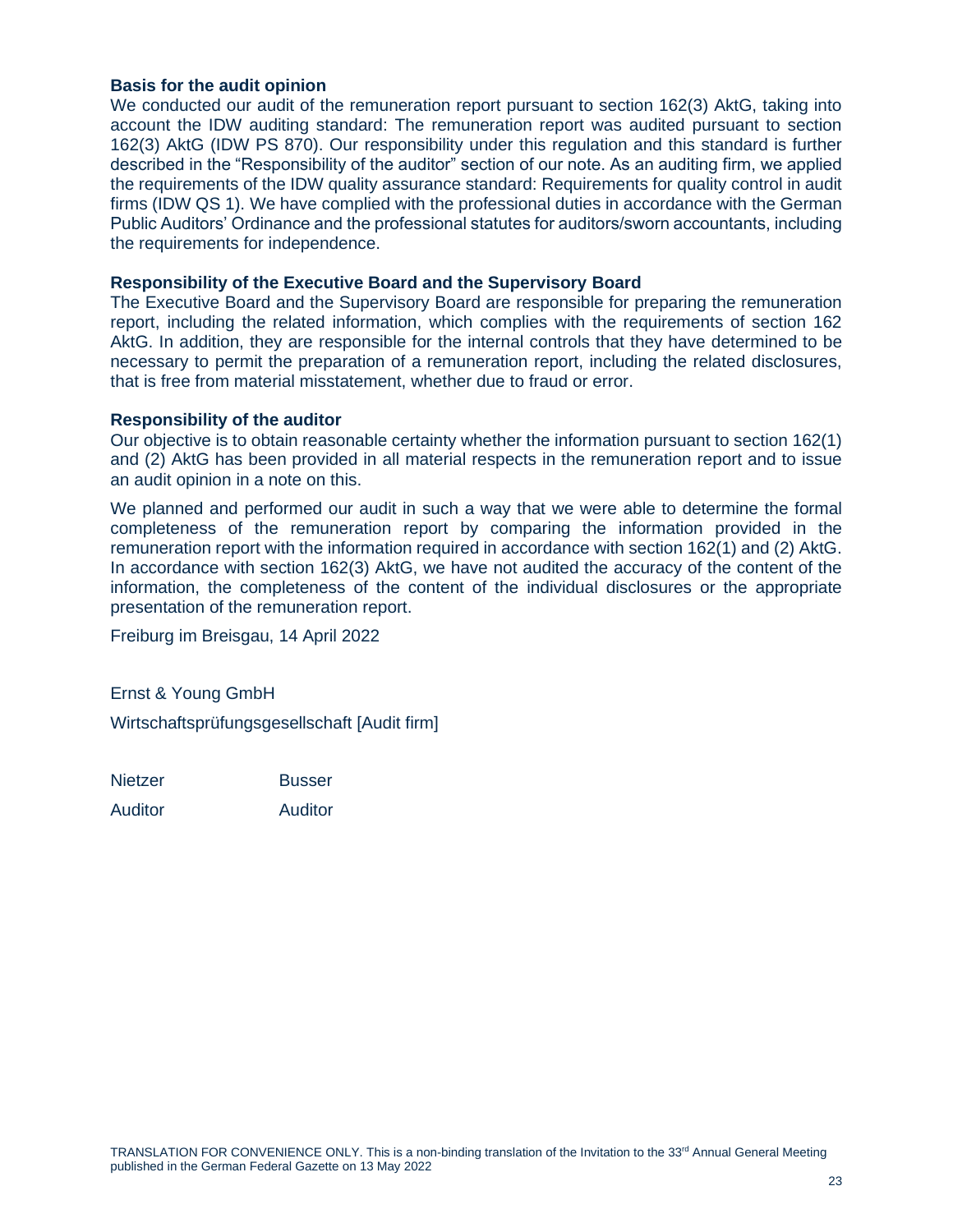# **Basis for the audit opinion**

We conducted our audit of the remuneration report pursuant to section 162(3) AktG, taking into account the IDW auditing standard: The remuneration report was audited pursuant to section 162(3) AktG (IDW PS 870). Our responsibility under this regulation and this standard is further described in the "Responsibility of the auditor" section of our note. As an auditing firm, we applied the requirements of the IDW quality assurance standard: Requirements for quality control in audit firms (IDW QS 1). We have complied with the professional duties in accordance with the German Public Auditors' Ordinance and the professional statutes for auditors/sworn accountants, including the requirements for independence.

## **Responsibility of the Executive Board and the Supervisory Board**

The Executive Board and the Supervisory Board are responsible for preparing the remuneration report, including the related information, which complies with the requirements of section 162 AktG. In addition, they are responsible for the internal controls that they have determined to be necessary to permit the preparation of a remuneration report, including the related disclosures, that is free from material misstatement, whether due to fraud or error.

#### **Responsibility of the auditor**

Our objective is to obtain reasonable certainty whether the information pursuant to section 162(1) and (2) AktG has been provided in all material respects in the remuneration report and to issue an audit opinion in a note on this.

We planned and performed our audit in such a way that we were able to determine the formal completeness of the remuneration report by comparing the information provided in the remuneration report with the information required in accordance with section 162(1) and (2) AktG. In accordance with section 162(3) AktG, we have not audited the accuracy of the content of the information, the completeness of the content of the individual disclosures or the appropriate presentation of the remuneration report.

Freiburg im Breisgau, 14 April 2022

Ernst & Young GmbH

Wirtschaftsprüfungsgesellschaft [Audit firm]

Nietzer **Busser** 

Auditor Auditor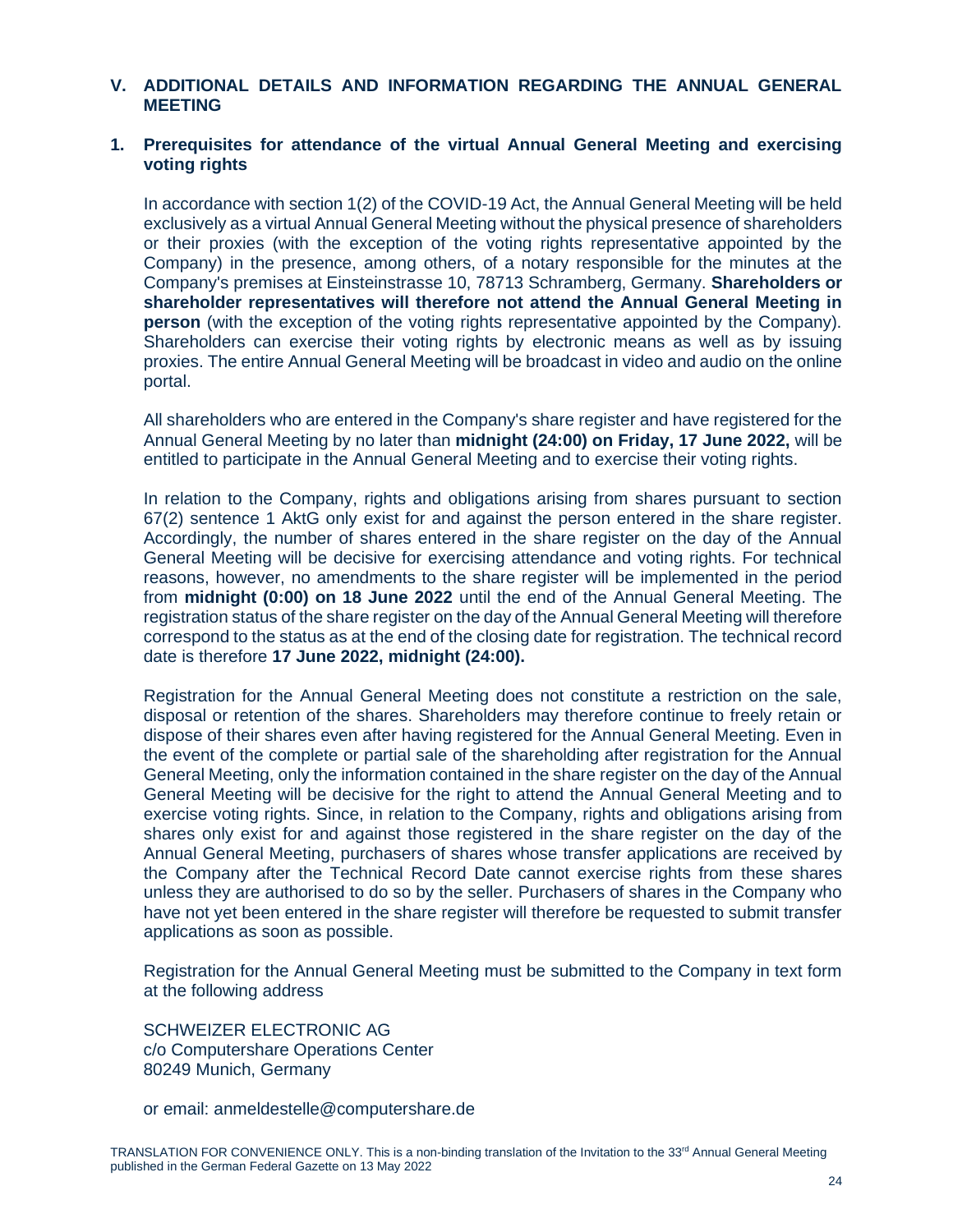# **V. ADDITIONAL DETAILS AND INFORMATION REGARDING THE ANNUAL GENERAL MEETING**

# **1. Prerequisites for attendance of the virtual Annual General Meeting and exercising voting rights**

In accordance with section 1(2) of the COVID-19 Act, the Annual General Meeting will be held exclusively as a virtual Annual General Meeting without the physical presence of shareholders or their proxies (with the exception of the voting rights representative appointed by the Company) in the presence, among others, of a notary responsible for the minutes at the Company's premises at Einsteinstrasse 10, 78713 Schramberg, Germany. **Shareholders or shareholder representatives will therefore not attend the Annual General Meeting in person** (with the exception of the voting rights representative appointed by the Company). Shareholders can exercise their voting rights by electronic means as well as by issuing proxies. The entire Annual General Meeting will be broadcast in video and audio on the online portal.

All shareholders who are entered in the Company's share register and have registered for the Annual General Meeting by no later than **midnight (24:00) on Friday, 17 June 2022,** will be entitled to participate in the Annual General Meeting and to exercise their voting rights.

In relation to the Company, rights and obligations arising from shares pursuant to section 67(2) sentence 1 AktG only exist for and against the person entered in the share register. Accordingly, the number of shares entered in the share register on the day of the Annual General Meeting will be decisive for exercising attendance and voting rights. For technical reasons, however, no amendments to the share register will be implemented in the period from **midnight (0:00) on 18 June 2022** until the end of the Annual General Meeting. The registration status of the share register on the day of the Annual General Meeting will therefore correspond to the status as at the end of the closing date for registration. The technical record date is therefore **17 June 2022, midnight (24:00).**

Registration for the Annual General Meeting does not constitute a restriction on the sale, disposal or retention of the shares. Shareholders may therefore continue to freely retain or dispose of their shares even after having registered for the Annual General Meeting. Even in the event of the complete or partial sale of the shareholding after registration for the Annual General Meeting, only the information contained in the share register on the day of the Annual General Meeting will be decisive for the right to attend the Annual General Meeting and to exercise voting rights. Since, in relation to the Company, rights and obligations arising from shares only exist for and against those registered in the share register on the day of the Annual General Meeting, purchasers of shares whose transfer applications are received by the Company after the Technical Record Date cannot exercise rights from these shares unless they are authorised to do so by the seller. Purchasers of shares in the Company who have not yet been entered in the share register will therefore be requested to submit transfer applications as soon as possible.

Registration for the Annual General Meeting must be submitted to the Company in text form at the following address

SCHWEIZER ELECTRONIC AG c/o Computershare Operations Center 80249 Munich, Germany

or email: [anmeldestelle@computershare.de](mailto:anmeldestelle@computershare.de)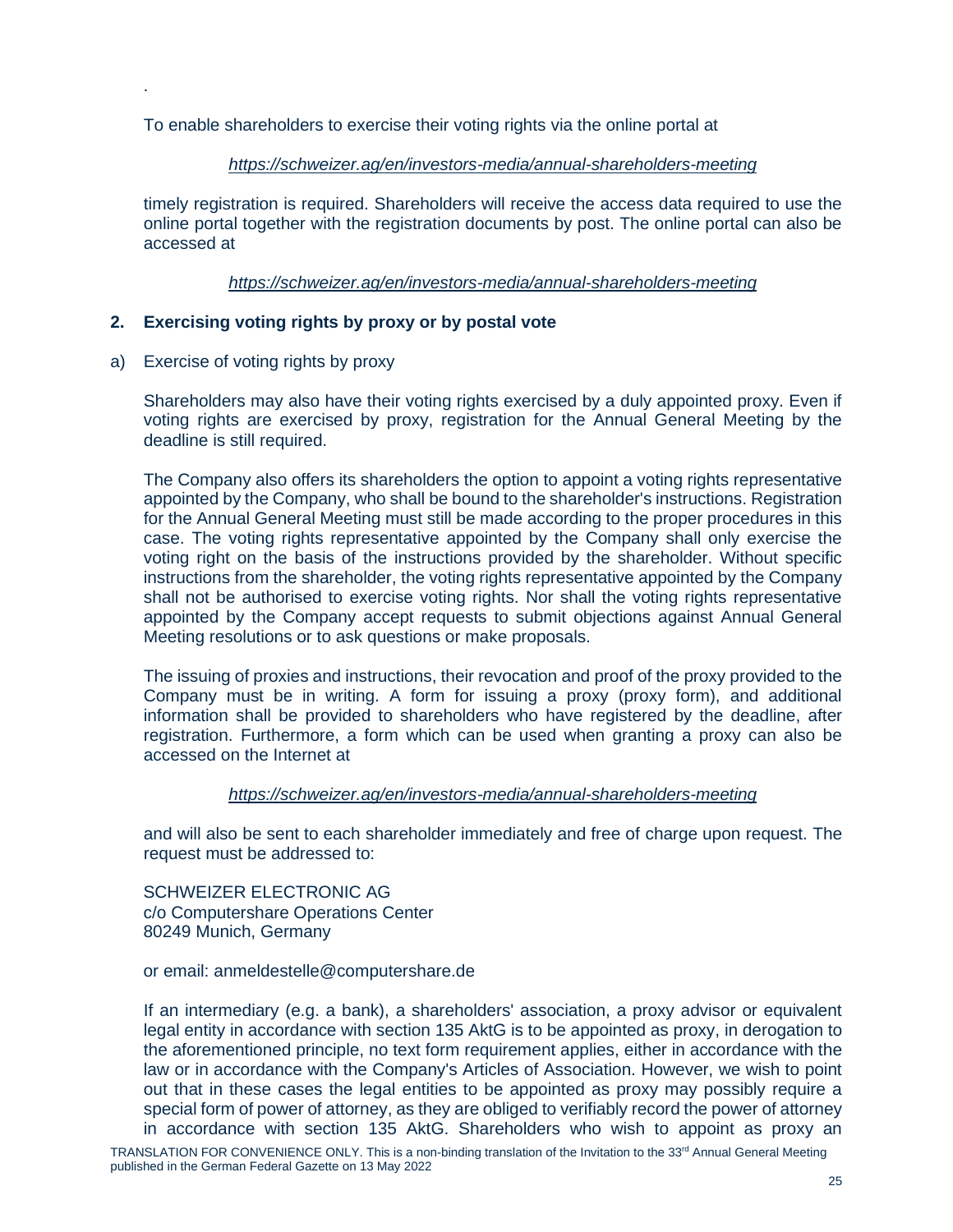To enable shareholders to exercise their voting rights via the online portal at

# *<https://schweizer.ag/en/investors-media/annual-shareholders-meeting>*

timely registration is required. Shareholders will receive the access data required to use the online portal together with the registration documents by post. The online portal can also be accessed at

*<https://schweizer.ag/en/investors-media/annual-shareholders-meeting>*

# **2. Exercising voting rights by proxy or by postal vote**

a) Exercise of voting rights by proxy

.

Shareholders may also have their voting rights exercised by a duly appointed proxy. Even if voting rights are exercised by proxy, registration for the Annual General Meeting by the deadline is still required.

The Company also offers its shareholders the option to appoint a voting rights representative appointed by the Company, who shall be bound to the shareholder's instructions. Registration for the Annual General Meeting must still be made according to the proper procedures in this case. The voting rights representative appointed by the Company shall only exercise the voting right on the basis of the instructions provided by the shareholder. Without specific instructions from the shareholder, the voting rights representative appointed by the Company shall not be authorised to exercise voting rights. Nor shall the voting rights representative appointed by the Company accept requests to submit objections against Annual General Meeting resolutions or to ask questions or make proposals.

The issuing of proxies and instructions, their revocation and proof of the proxy provided to the Company must be in writing. A form for issuing a proxy (proxy form), and additional information shall be provided to shareholders who have registered by the deadline, after registration. Furthermore, a form which can be used when granting a proxy can also be accessed on the Internet at

# *<https://schweizer.ag/en/investors-media/annual-shareholders-meeting>*

and will also be sent to each shareholder immediately and free of charge upon request. The request must be addressed to:

SCHWEIZER ELECTRONIC AG c/o Computershare Operations Center 80249 Munich, Germany

or email: [anmeldestelle@computershare.de](mailto:anmeldestelle@computershare.de)

If an intermediary (e.g. a bank), a shareholders' association, a proxy advisor or equivalent legal entity in accordance with section 135 AktG is to be appointed as proxy, in derogation to the aforementioned principle, no text form requirement applies, either in accordance with the law or in accordance with the Company's Articles of Association. However, we wish to point out that in these cases the legal entities to be appointed as proxy may possibly require a special form of power of attorney, as they are obliged to verifiably record the power of attorney in accordance with section 135 AktG. Shareholders who wish to appoint as proxy an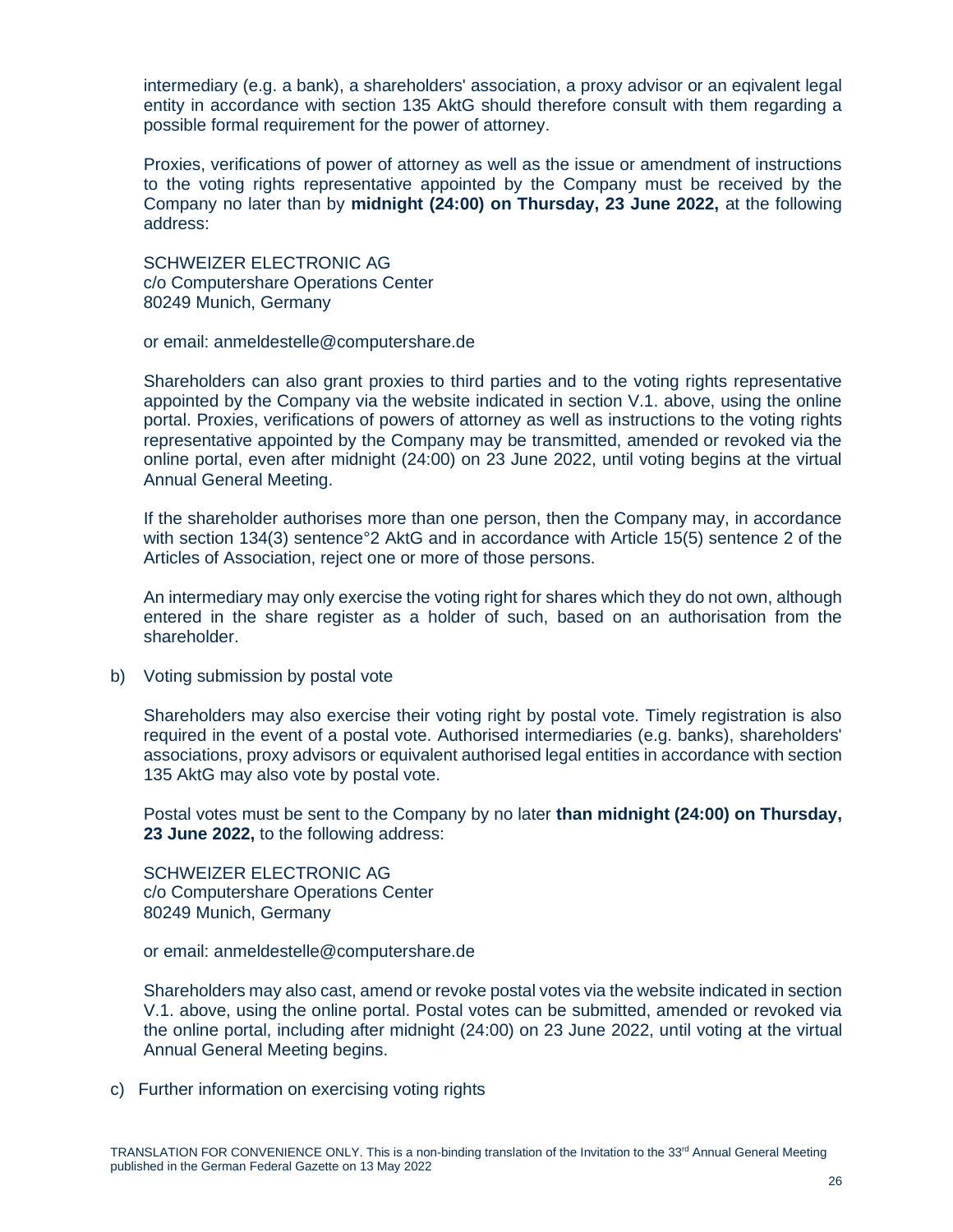intermediary (e.g. a bank), a shareholders' association, a proxy advisor or an eqivalent legal entity in accordance with section 135 AktG should therefore consult with them regarding a possible formal requirement for the power of attorney.

Proxies, verifications of power of attorney as well as the issue or amendment of instructions to the voting rights representative appointed by the Company must be received by the Company no later than by **midnight (24:00) on Thursday, 23 June 2022,** at the following address:

SCHWEIZER ELECTRONIC AG c/o Computershare Operations Center 80249 Munich, Germany

or email: [anmeldestelle@computershare.de](mailto:anmeldestelle@computershare.de)

Shareholders can also grant proxies to third parties and to the voting rights representative appointed by the Company via the website indicated in section V.1. above, using the online portal. Proxies, verifications of powers of attorney as well as instructions to the voting rights representative appointed by the Company may be transmitted, amended or revoked via the online portal, even after midnight (24:00) on 23 June 2022, until voting begins at the virtual Annual General Meeting.

If the shareholder authorises more than one person, then the Company may, in accordance with section 134(3) sentence°2 AktG and in accordance with Article 15(5) sentence 2 of the Articles of Association, reject one or more of those persons.

An intermediary may only exercise the voting right for shares which they do not own, although entered in the share register as a holder of such, based on an authorisation from the shareholder.

b) Voting submission by postal vote

Shareholders may also exercise their voting right by postal vote. Timely registration is also required in the event of a postal vote. Authorised intermediaries (e.g. banks), shareholders' associations, proxy advisors or equivalent authorised legal entities in accordance with section 135 AktG may also vote by postal vote.

Postal votes must be sent to the Company by no later **than midnight (24:00) on Thursday, 23 June 2022,** to the following address:

SCHWEIZER ELECTRONIC AG c/o Computershare Operations Center 80249 Munich, Germany

or email: [anmeldestelle@computershare.de](mailto:anmeldestelle@computershare.de)

Shareholders may also cast, amend or revoke postal votes via the website indicated in section V.1. above, using the online portal. Postal votes can be submitted, amended or revoked via the online portal, including after midnight (24:00) on 23 June 2022, until voting at the virtual Annual General Meeting begins.

c) Further information on exercising voting rights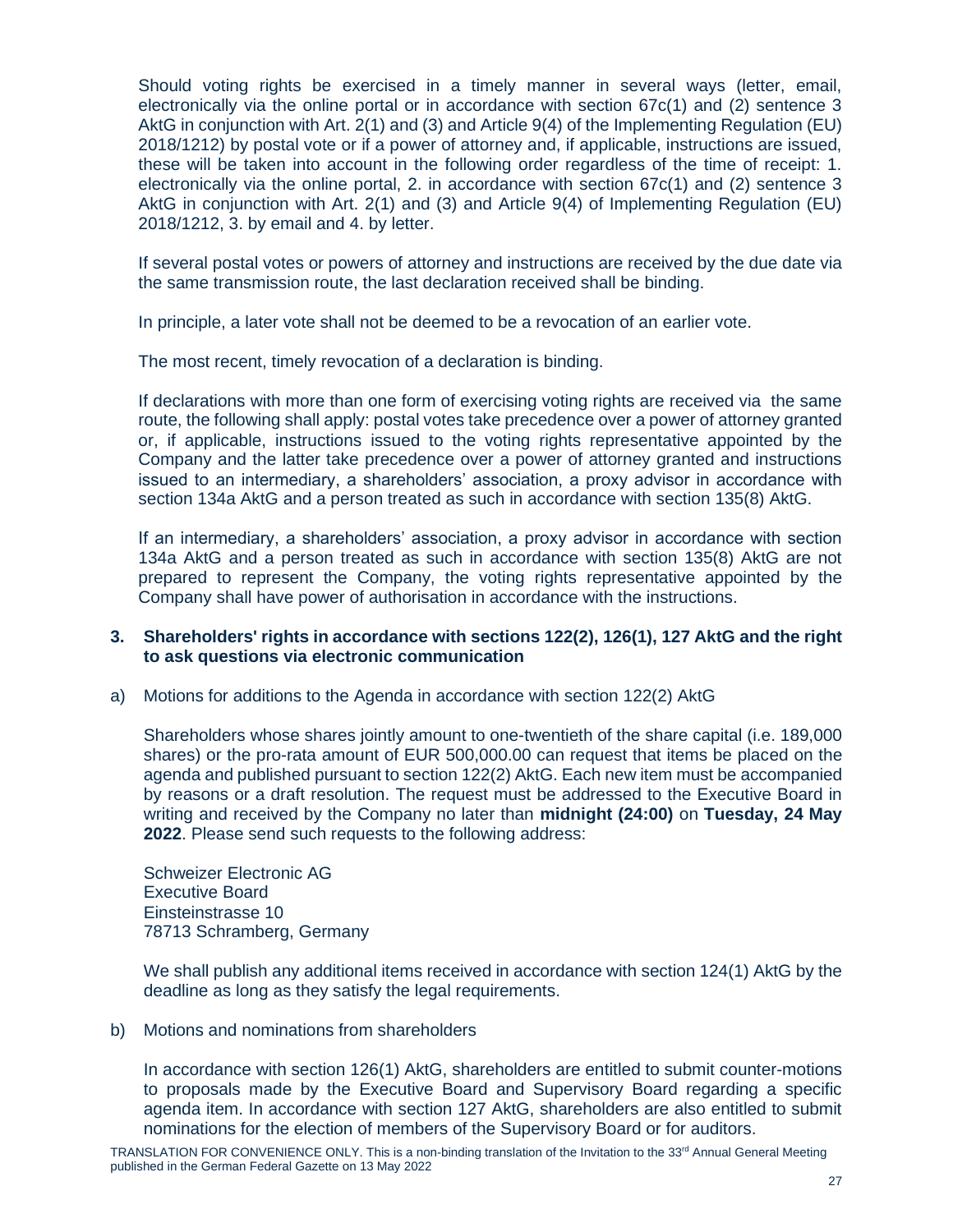Should voting rights be exercised in a timely manner in several ways (letter, email, electronically via the online portal or in accordance with section 67c(1) and (2) sentence 3 AktG in conjunction with Art. 2(1) and (3) and Article 9(4) of the Implementing Regulation (EU) 2018/1212) by postal vote or if a power of attorney and, if applicable, instructions are issued, these will be taken into account in the following order regardless of the time of receipt: 1. electronically via the online portal, 2. in accordance with section 67c(1) and (2) sentence 3 AktG in conjunction with Art. 2(1) and (3) and Article 9(4) of Implementing Regulation (EU) 2018/1212, 3. by email and 4. by letter.

If several postal votes or powers of attorney and instructions are received by the due date via the same transmission route, the last declaration received shall be binding.

In principle, a later vote shall not be deemed to be a revocation of an earlier vote.

The most recent, timely revocation of a declaration is binding.

If declarations with more than one form of exercising voting rights are received via the same route, the following shall apply: postal votes take precedence over a power of attorney granted or, if applicable, instructions issued to the voting rights representative appointed by the Company and the latter take precedence over a power of attorney granted and instructions issued to an intermediary, a shareholders' association, a proxy advisor in accordance with section 134a AktG and a person treated as such in accordance with section 135(8) AktG.

If an intermediary, a shareholders' association, a proxy advisor in accordance with section 134a AktG and a person treated as such in accordance with section 135(8) AktG are not prepared to represent the Company, the voting rights representative appointed by the Company shall have power of authorisation in accordance with the instructions.

# **3. Shareholders' rights in accordance with sections 122(2), 126(1), 127 AktG and the right to ask questions via electronic communication**

a) Motions for additions to the Agenda in accordance with section 122(2) AktG

Shareholders whose shares jointly amount to one-twentieth of the share capital (i.e. 189,000 shares) or the pro-rata amount of EUR 500,000.00 can request that items be placed on the agenda and published pursuant to section 122(2) AktG. Each new item must be accompanied by reasons or a draft resolution. The request must be addressed to the Executive Board in writing and received by the Company no later than **midnight (24:00)** on **Tuesday, 24 May 2022**. Please send such requests to the following address:

Schweizer Electronic AG Executive Board Einsteinstrasse 10 78713 Schramberg, Germany

We shall publish any additional items received in accordance with section 124(1) AktG by the deadline as long as they satisfy the legal requirements.

b) Motions and nominations from shareholders

In accordance with section 126(1) AktG, shareholders are entitled to submit counter-motions to proposals made by the Executive Board and Supervisory Board regarding a specific agenda item. In accordance with section 127 AktG, shareholders are also entitled to submit nominations for the election of members of the Supervisory Board or for auditors.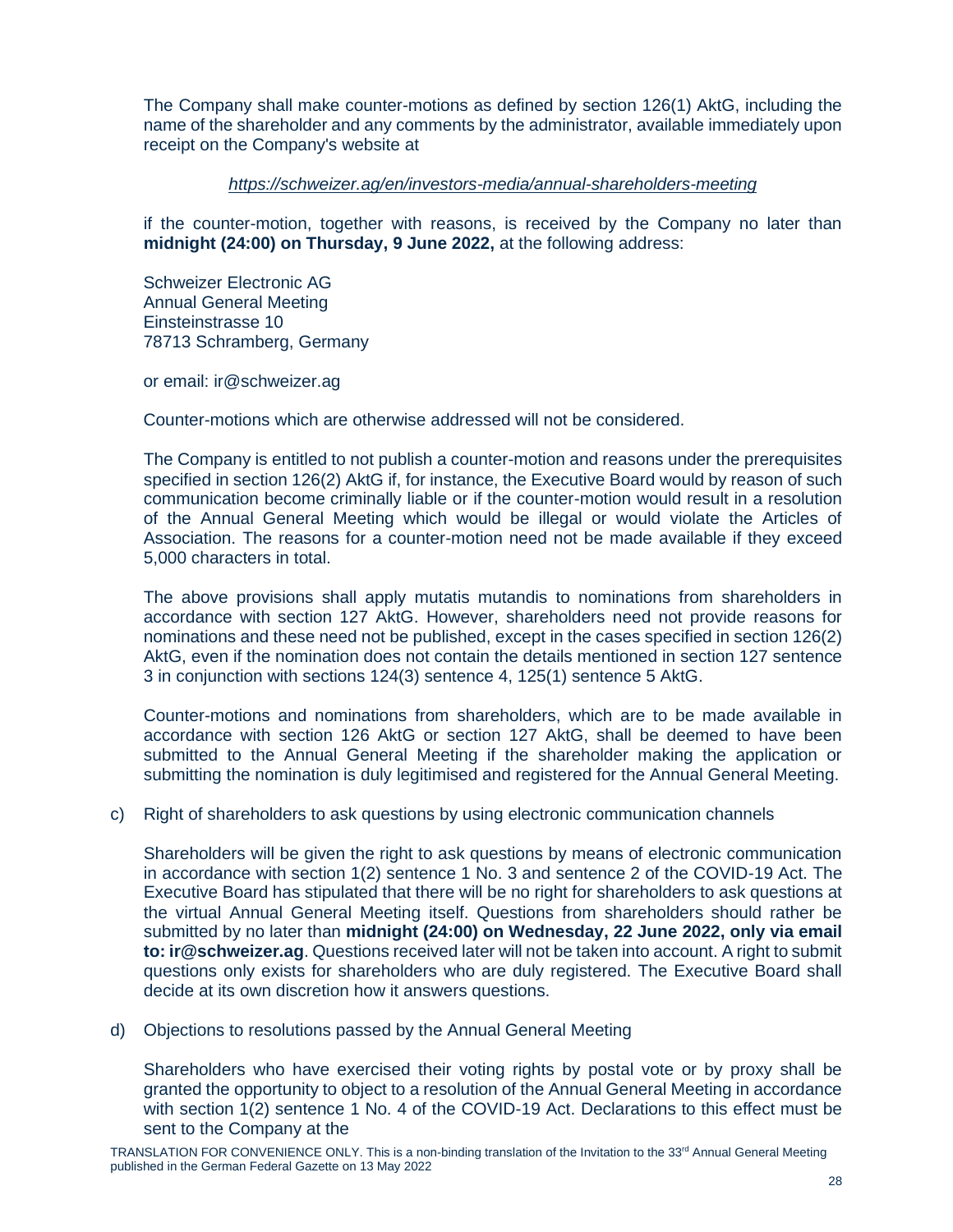The Company shall make counter-motions as defined by section 126(1) AktG, including the name of the shareholder and any comments by the administrator, available immediately upon receipt on the Company's website at

# *<https://schweizer.ag/en/investors-media/annual-shareholders-meeting>*

if the counter-motion, together with reasons, is received by the Company no later than **midnight (24:00) on Thursday, 9 June 2022,** at the following address:

Schweizer Electronic AG Annual General Meeting Einsteinstrasse 10 78713 Schramberg, Germany

or email: ir@schweizer.ag

Counter-motions which are otherwise addressed will not be considered.

The Company is entitled to not publish a counter-motion and reasons under the prerequisites specified in section 126(2) AktG if, for instance, the Executive Board would by reason of such communication become criminally liable or if the counter-motion would result in a resolution of the Annual General Meeting which would be illegal or would violate the Articles of Association. The reasons for a counter-motion need not be made available if they exceed 5,000 characters in total.

The above provisions shall apply mutatis mutandis to nominations from shareholders in accordance with section 127 AktG. However, shareholders need not provide reasons for nominations and these need not be published, except in the cases specified in section 126(2) AktG, even if the nomination does not contain the details mentioned in section 127 sentence 3 in conjunction with sections 124(3) sentence 4, 125(1) sentence 5 AktG.

Counter-motions and nominations from shareholders, which are to be made available in accordance with section 126 AktG or section 127 AktG, shall be deemed to have been submitted to the Annual General Meeting if the shareholder making the application or submitting the nomination is duly legitimised and registered for the Annual General Meeting.

# c) Right of shareholders to ask questions by using electronic communication channels

Shareholders will be given the right to ask questions by means of electronic communication in accordance with section 1(2) sentence 1 No. 3 and sentence 2 of the COVID-19 Act. The Executive Board has stipulated that there will be no right for shareholders to ask questions at the virtual Annual General Meeting itself. Questions from shareholders should rather be submitted by no later than **midnight (24:00) on Wednesday, 22 June 2022, only via email to: ir@schweizer.ag**. Questions received later will not be taken into account. A right to submit questions only exists for shareholders who are duly registered. The Executive Board shall decide at its own discretion how it answers questions.

d) Objections to resolutions passed by the Annual General Meeting

Shareholders who have exercised their voting rights by postal vote or by proxy shall be granted the opportunity to object to a resolution of the Annual General Meeting in accordance with section 1(2) sentence 1 No. 4 of the COVID-19 Act. Declarations to this effect must be sent to the Company at the